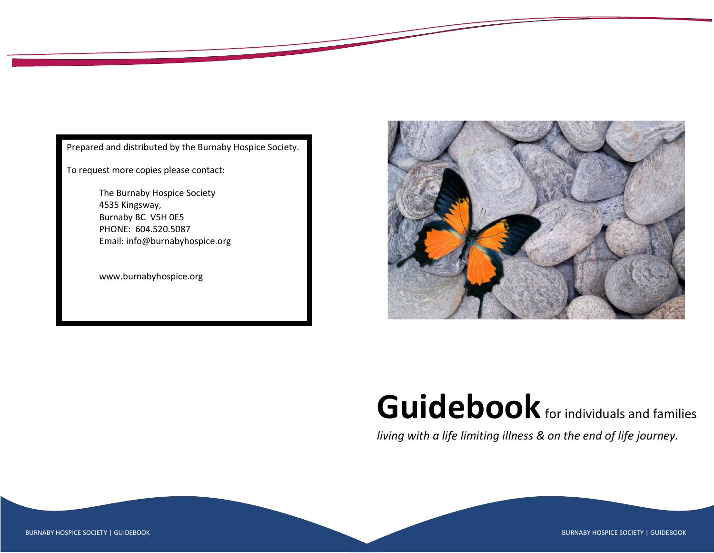

Prepared and distributed by the Burnaby Hospice Society.

To request more copies please contact:

The Burnaby Hospice Society 4535 Kingsway, Burnaby BC V5H 0E5 PHONE: 604.520.5087 Email: info@burnabyhospice.org

www.burnabyhospice.org



# Guidebook for individuals and families

*living with a life limiting illness & on the end of life journey.*

BURNABY HOSPICE SOCIETY | GUIDEBOOK **BURNABY HOSPICE SOCIETY | GUIDEBOOK** BURNABY HOSPICE SOCIETY | GUIDEBOOK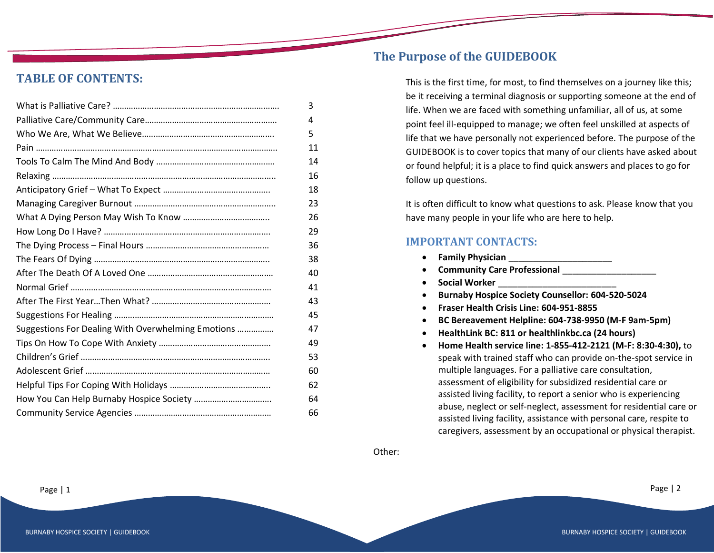## **TABLE OF CONTENTS:**

|                                                    | 3  |
|----------------------------------------------------|----|
|                                                    | 4  |
|                                                    | 5  |
|                                                    | 11 |
|                                                    | 14 |
|                                                    | 16 |
|                                                    | 18 |
|                                                    | 23 |
|                                                    | 26 |
|                                                    | 29 |
|                                                    | 36 |
|                                                    | 38 |
|                                                    | 40 |
|                                                    | 41 |
|                                                    | 43 |
|                                                    | 45 |
| Suggestions For Dealing With Overwhelming Emotions | 47 |
|                                                    | 49 |
|                                                    | 53 |
|                                                    | 60 |
|                                                    | 62 |
|                                                    | 64 |
|                                                    | 66 |

## **The Purpose of the GUIDEBOOK**

This is the first time, for most, to find themselves on a journey like this; be it receiving a terminal diagnosis or supporting someone at the end of life. When we are faced with something unfamiliar, all of us, at some point feel ill-equipped to manage; we often feel unskilled at aspects of life that we have personally not experienced before. The purpose of the GUIDEBOOK is to cover topics that many of our clients have asked about or found helpful; it is a place to find quick answers and places to go for follow up questions.

It is often difficult to know what questions to ask. Please know that you have many people in your life who are here to help.

## **IMPORTANT CONTACTS:**

- **Family Physician** \_\_\_\_\_\_\_\_\_\_\_\_\_\_\_\_\_\_\_\_\_
- **Community Care Professional** \_\_\_\_\_\_\_\_\_\_\_\_\_\_\_\_\_\_\_
- **Social Worker** \_\_\_\_\_\_\_\_\_\_\_\_\_\_\_\_\_\_\_\_\_\_\_\_
- **Burnaby Hospice Society Counsellor: 604-520-5024**
- **Fraser Health Crisis Line: 604-951-8855**
- **BC Bereavement Helpline: 604-738-9950 (M-F 9am-5pm)**
- **HealthLink BC: 811 or healthlinkbc.ca (24 hours)**
- **Home Health service line: 1-855-412-2121 (M-F: 8:30-4:30),** to speak with trained staff who can provide on-the-spot service in multiple languages. For a palliative care consultation, assessment of eligibility for subsidized residential care or assisted living facility, to report a senior who is experiencing abuse, neglect or self-neglect, assessment for residential care or assisted living facility, assistance with personal care, respite to caregivers, assessment by an occupational or physical therapist.

Other: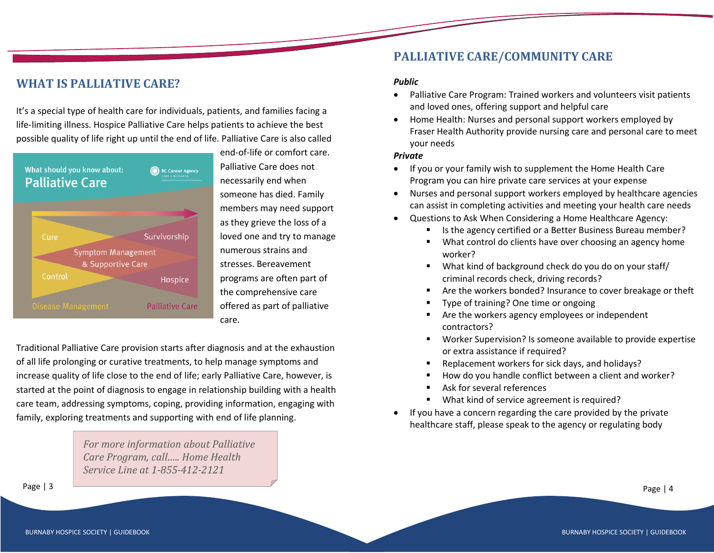## **WHAT IS PALLIATIVE CARE?**

It's a special type of health care for individuals, patients, and families facing a life-limiting illness. Hospice Palliative Care helps patients to achieve the best possible quality of life right up until the end of life. Palliative Care is also called



end-of-life or comfort care. Palliative Care does not necessarily end when someone has died. Family members may need support as they grieve the loss of a loved one and try to manage numerous strains and stresses. Bereavement programs are often part of the comprehensive care offered as part of palliative care.

Traditional Palliative Care provision starts after diagnosis and at the exhaustion of all life prolonging or curative treatments, to help manage symptoms and increase quality of life close to the end of life; early Palliative Care, however, is started at the point of diagnosis to engage in relationship building with a health care team, addressing symptoms, coping, providing information, engaging with family, exploring treatments and supporting with end of life planning.

> *For more information about Palliative Care Program, call….. Home Health Service Line at 1-855-412-2121*

## **PALLIATIVE CARE/COMMUNITY CARE**

#### *Public*

- Palliative Care Program: Trained workers and volunteers visit patients and loved ones, offering support and helpful care
- Home Health: Nurses and personal support workers employed by Fraser Health Authority provide nursing care and personal care to meet your needs

#### *Private*

- If you or your family wish to supplement the Home Health Care Program you can hire private care services at your expense
- Nurses and personal support workers employed by healthcare agencies can assist in completing activities and meeting your health care needs
- Questions to Ask When Considering a Home Healthcare Agency:
	- Is the agency certified or a Better Business Bureau member?
	- What control do clients have over choosing an agency home worker?
	- What kind of background check do you do on your staff/ criminal records check, driving records?
	- Are the workers bonded? Insurance to cover breakage or theft
	- Type of training? One time or ongoing
	- Are the workers agency employees or independent contractors?
	- Worker Supervision? Is someone available to provide expertise or extra assistance if required?
	- Replacement workers for sick days, and holidays?
	- How do you handle conflict between a client and worker?
	- Ask for several references
	- What kind of service agreement is required?
- If you have a concern regarding the care provided by the private healthcare staff, please speak to the agency or regulating body

Page | 3 Page | 4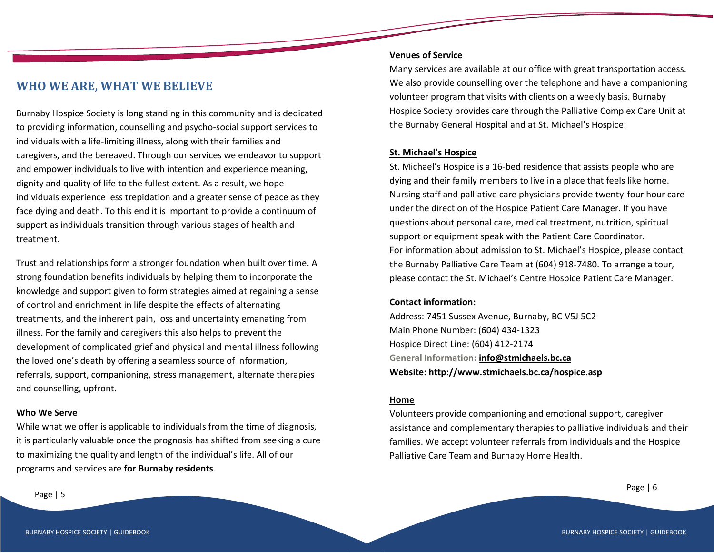## **WHO WE ARE, WHAT WE BELIEVE**

Burnaby Hospice Society is long standing in this community and is dedicated to providing information, counselling and psycho-social support services to individuals with a life-limiting illness, along with their families and caregivers, and the bereaved. Through our services we endeavor to support and empower individuals to live with intention and experience meaning, dignity and quality of life to the fullest extent. As a result, we hope individuals experience less trepidation and a greater sense of peace as they face dying and death. To this end it is important to provide a continuum of support as individuals transition through various stages of health and treatment.

Trust and relationships form a stronger foundation when built over time. A strong foundation benefits individuals by helping them to incorporate the knowledge and support given to form strategies aimed at regaining a sense of control and enrichment in life despite the effects of alternating treatments, and the inherent pain, loss and uncertainty emanating from illness. For the family and caregivers this also helps to prevent the development of complicated grief and physical and mental illness following the loved one's death by offering a seamless source of information, referrals, support, companioning, stress management, alternate therapies and counselling, upfront.

#### **Who We Serve**

While what we offer is applicable to individuals from the time of diagnosis, it is particularly valuable once the prognosis has shifted from seeking a cure to maximizing the quality and length of the individual's life. All of our programs and services are **for Burnaby residents**.

#### **Venues of Service**

Many services are available at our office with great transportation access. We also provide counselling over the telephone and have a companioning volunteer program that visits with clients on a weekly basis. Burnaby Hospice Society provides care through the Palliative Complex Care Unit at the Burnaby General Hospital and at St. Michael's Hospice:

#### **St. Michael's Hospice**

St. Michael's Hospice is a 16-bed residence that assists people who are dying and their family members to live in a place that feels like home. Nursing staff and palliative care physicians provide twenty-four hour care under the direction of the Hospice Patient Care Manager. If you have questions about personal care, medical treatment, nutrition, spiritual support or equipment speak with the Patient Care Coordinator. For information about admission to St. Michael's Hospice, please contact the Burnaby Palliative Care Team at (604) 918-7480. To arrange a tour, please contact the St. Michael's Centre Hospice Patient Care Manager.

#### **Contact information:**

Address: 7451 Sussex Avenue, Burnaby, BC V5J 5C2 Main Phone Number: (604) 434-1323 Hospice Direct Line: (604) 412-2174 **General Information: [info@stmichaels.bc.ca](http://www.stmichaels.bc.ca/contact/info@stmichaels.bc.ca) Website: http://www.stmichaels.bc.ca/hospice.asp**

#### **Home**

Volunteers provide companioning and emotional support, caregiver assistance and complementary therapies to palliative individuals and their families. We accept volunteer referrals from individuals and the Hospice Palliative Care Team and Burnaby Home Health.

Page | 5 Page | 6 Page | 6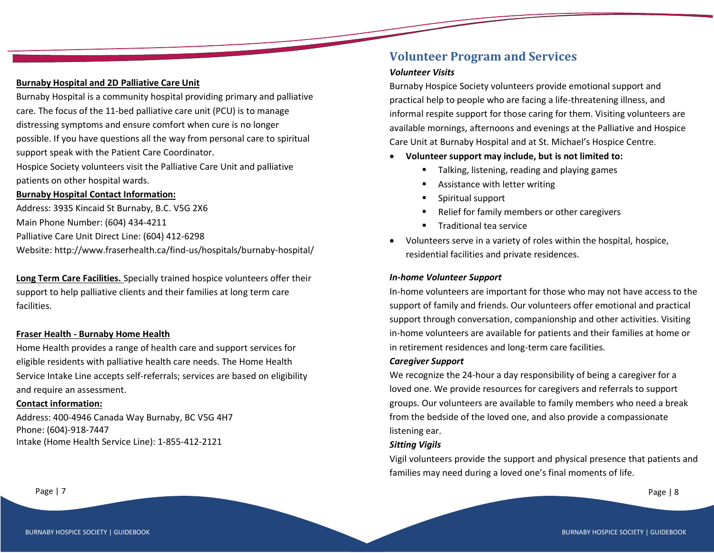## **Burnaby Hospital and 2D Palliative Care Unit**

Burnaby Hospital is a community hospital providing primary and palliative care. The focus of the 11-bed palliative care unit (PCU) is to manage distressing symptoms and ensure comfort when cure is no longer possible. If you have questions all the way from personal care to spiritual support speak with the Patient Care Coordinator.

Hospice Society volunteers visit the Palliative Care Unit and palliative patients on other hospital wards.

## **Burnaby Hospital Contact Information:**

Address: 3935 Kincaid St Burnaby, B.C. V5G 2X6 Main Phone Number: (604) 434-4211 Palliative Care Unit Direct Line: (604) 412-6298 Website: http://www.fraserhealth.ca/find-us/hospitals/burnaby-hospital/

**Long Term Care Facilities.** Specially trained hospice volunteers offer their support to help palliative clients and their families at long term care facilities.

## **Fraser Health - Burnaby Home Health**

Home Health provides a range of health care and support services for eligible residents with palliative health care needs. The Home Health Service Intake Line accepts self-referrals; services are based on eligibility and require an assessment.

#### **Contact information:**

Address: 400-4946 Canada Way Burnaby, BC V5G 4H7 Phone: (604)-918-7447 Intake (Home Health Service Line): 1-855-412-2121

## **Volunteer Program and Services**

## *Volunteer Visits*

Burnaby Hospice Society volunteers provide emotional support and practical help to people who are facing a life-threatening illness, and informal respite support for those caring for them. Visiting volunteers are available mornings, afternoons and evenings at the Palliative and Hospice Care Unit at Burnaby Hospital and at St. Michael's Hospice Centre.

- **Volunteer support may include, but is not limited to:**
	- Talking, listening, reading and playing games
	- Assistance with letter writing
	- Spiritual support
	- Relief for family members or other caregivers
	- Traditional tea service
- Volunteers serve in a variety of roles within the hospital, hospice, residential facilities and private residences.

#### *In-home Volunteer Support*

In-home volunteers are important for those who may not have access to the support of family and friends. Our volunteers offer emotional and practical support through conversation, companionship and other activities. Visiting in-home volunteers are available for patients and their families at home or in retirement residences and long-term care facilities.

#### *Caregiver Support*

We recognize the 24-hour a day responsibility of being a caregiver for a loved one. We provide resources for caregivers and referrals to support groups. Our volunteers are available to family members who need a break from the bedside of the loved one, and also provide a compassionate listening ear.

#### *Sitting Vigils*

Vigil volunteers provide the support and physical presence that patients and families may need during a loved one's final moments of life.

Page | 7 Page | 8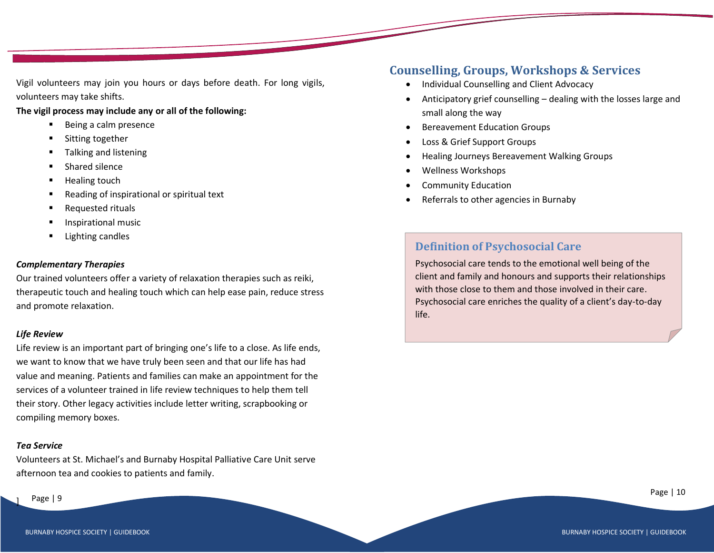Vigil volunteers may join you hours or days before death. For long vigils, volunteers may take shifts.

#### **The vigil process may include any or all of the following:**

- Being a calm presence
- Sitting together
- Talking and listening
- Shared silence
- **Healing touch**
- Reading of inspirational or spiritual text
- Requested rituals
- Inspirational music
- **Lighting candles**

#### *Complementary Therapies*

Our trained volunteers offer a variety of relaxation therapies such as reiki, therapeutic touch and healing touch which can help ease pain, reduce stress and promote relaxation.

#### *Life Review*

Life review is an important part of bringing one's life to a close. As life ends, we want to know that we have truly been seen and that our life has had value and meaning. Patients and families can make an appointment for the services of a volunteer trained in life review techniques to help them tell their story. Other legacy activities include letter writing, scrapbooking or compiling memory boxes.

#### *Tea Service*

Volunteers at St. Michael's and Burnaby Hospital Palliative Care Unit serve afternoon tea and cookies to patients and family.

#### Page | 9

]

## **Counselling, Groups, Workshops & Services**

- Individual Counselling and Client Advocacy
- Anticipatory grief counselling dealing with the losses large and small along the way
- Bereavement Education Groups
- Loss & Grief Support Groups
- Healing Journeys Bereavement Walking Groups
- Wellness Workshops
- Community Education
- Referrals to other agencies in Burnaby

## **Definition of Psychosocial Care**

Psychosocial care tends to the emotional well being of the client and family and honours and supports their relationships with those close to them and those involved in their care. Psychosocial care enriches the quality of a client's day-to-day life.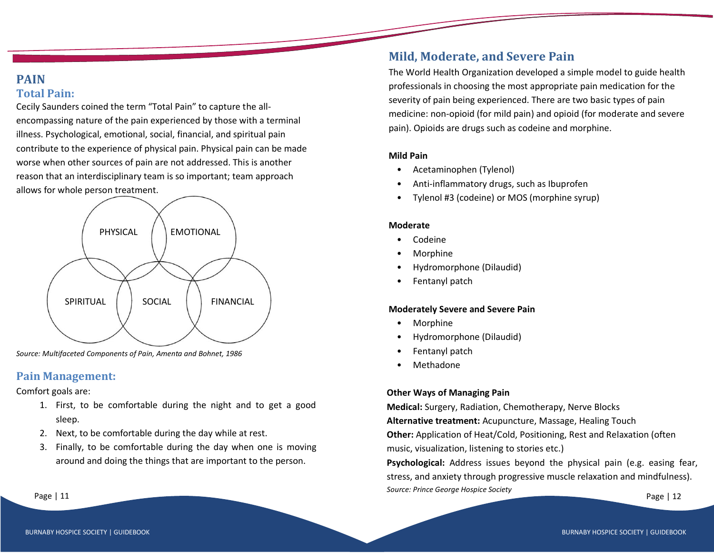#### BURNABY HOSPICE SOCIETY | GUIDEBOOK BURNABY HOSPICE SOCIETY | GUIDEBOOK BURNABY HOSPICE SOCIETY | GUIDEBOOK

## **PAIN Total Pain:**

Cecily Saunders coined the term "Total Pain" to capture the allencompassing nature of the pain experienced by those with a terminal illness. Psychological, emotional, social, financial, and spiritual pain contribute to the experience of physical pain. Physical pain can be made worse when other sources of pain are not addressed. This is another reason that an interdisciplinary team is so important; team approach allows for whole person treatment.

## *Source: Multifaceted Components of Pain, Amenta and Bohnet, 1986*

## **Pain Management:**

Comfort goals are:

- 1. First, to be comfortable during the night and to get a good sleep.
- 2. Next, to be comfortable during the day while at rest.
- 3. Finally, to be comfortable during the day when one is moving around and doing the things that are important to the person.

## **Mild, Moderate, and Severe Pain**

The World Health Organization developed a simple model to guide health professionals in choosing the most appropriate pain medication for the severity of pain being experienced. There are two basic types of pain medicine: non-opioid (for mild pain) and opioid (for moderate and severe pain). Opioids are drugs such as codeine and morphine.

#### **Mild Pain**

- Acetaminophen (Tylenol)
- Anti-inflammatory drugs, such as Ibuprofen
- Tylenol #3 (codeine) or MOS (morphine syrup)

#### **Moderate**

- Codeine
- Morphine
- Hydromorphone (Dilaudid)
- Fentanyl patch

#### **Moderately Severe and Severe Pain**

- Morphine
- Hydromorphone (Dilaudid)
- Fentanyl patch
- **Methadone**

## **Other Ways of Managing Pain**

**Medical:** Surgery, Radiation, Chemotherapy, Nerve Blocks **Alternative treatment:** Acupuncture, Massage, Healing Touch **Other:** Application of Heat/Cold, Positioning, Rest and Relaxation (often music, visualization, listening to stories etc.)

 $\textsf{Page} \mid 11$  Page | 12 **Psychological:** Address issues beyond the physical pain (e.g. easing fear, stress, and anxiety through progressive muscle relaxation and mindfulness). *Source: Prince George Hospice Society*

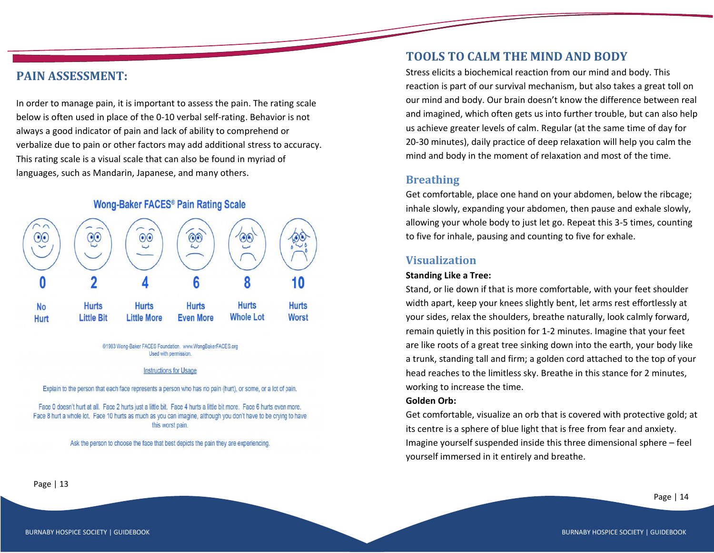## **PAIN ASSESSMENT:**

In order to manage pain, it is important to assess the pain. The rating scale below is often used in place of the 0-10 verbal self-rating. Behavior is not always a good indicator of pain and lack of ability to comprehend or verbalize due to pain or other factors may add additional stress to accuracy. This rating scale is a visual scale that can also be found in myriad of languages, such as Mandarin, Japanese, and many others.

## Wong-Baker FACES® Pain Rating Scale



@1983 Wong-Baker FACES Foundation. www.WongBakerFACES.org Used with permission.

#### **Instructions for Usage**

Explain to the person that each face represents a person who has no pain (hurt), or some, or a lot of pain.

Face 0 doesn't hurt at all. Face 2 hurts just a little bit. Face 4 hurts a little bit more. Face 6 hurts even more. Face 8 hurt a whole lot. Face 10 hurts as much as you can imagine, although you don't have to be crying to have this worst pain.

Ask the person to choose the face that best depicts the pain they are experiencing.

## **TOOLS TO CALM THE MIND AND BODY**

Stress elicits a biochemical reaction from our mind and body. This reaction is part of our survival mechanism, but also takes a great toll on our mind and body. Our brain doesn't know the difference between real and imagined, which often gets us into further trouble, but can also help us achieve greater levels of calm. Regular (at the same time of day for 20-30 minutes), daily practice of deep relaxation will help you calm the mind and body in the moment of relaxation and most of the time.

## **Breathing**

Get comfortable, place one hand on your abdomen, below the ribcage; inhale slowly, expanding your abdomen, then pause and exhale slowly, allowing your whole body to just let go. Repeat this 3-5 times, counting to five for inhale, pausing and counting to five for exhale.

## **Visualization**

#### **Standing Like a Tree:**

Stand, or lie down if that is more comfortable, with your feet shoulder width apart, keep your knees slightly bent, let arms rest effortlessly at your sides, relax the shoulders, breathe naturally, look calmly forward, remain quietly in this position for 1-2 minutes. Imagine that your feet are like roots of a great tree sinking down into the earth, your body like a trunk, standing tall and firm; a golden cord attached to the top of your head reaches to the limitless sky. Breathe in this stance for 2 minutes, working to increase the time.

#### **Golden Orb:**

Get comfortable, visualize an orb that is covered with protective gold; at its centre is a sphere of blue light that is free from fear and anxiety. Imagine yourself suspended inside this three dimensional sphere – feel yourself immersed in it entirely and breathe.

Page | 13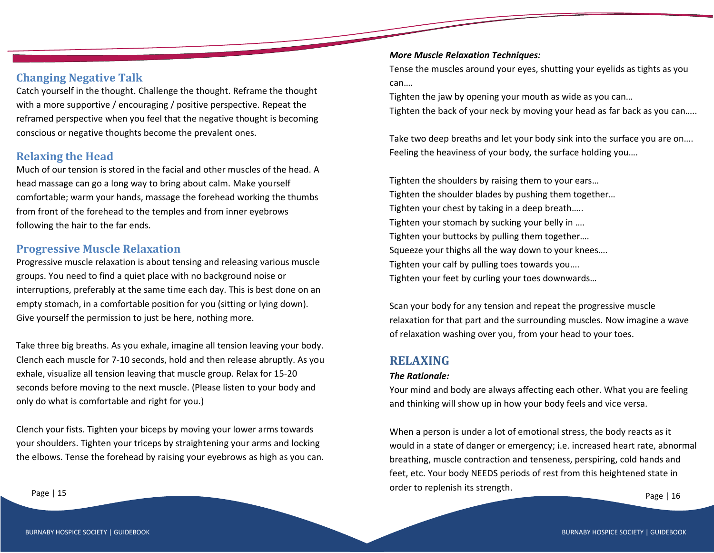## **Changing Negative Talk**

Catch yourself in the thought. Challenge the thought. Reframe the thought with a more supportive / encouraging / positive perspective. Repeat the reframed perspective when you feel that the negative thought is becoming conscious or negative thoughts become the prevalent ones.

## **Relaxing the Head**

Much of our tension is stored in the facial and other muscles of the head. A head massage can go a long way to bring about calm. Make yourself comfortable; warm your hands, massage the forehead working the thumbs from front of the forehead to the temples and from inner eyebrows following the hair to the far ends.

## **Progressive Muscle Relaxation**

Progressive muscle relaxation is about tensing and releasing various muscle groups. You need to find a quiet place with no background noise or interruptions, preferably at the same time each day. This is best done on an empty stomach, in a comfortable position for you (sitting or lying down). Give yourself the permission to just be here, nothing more.

Take three big breaths. As you exhale, imagine all tension leaving your body. Clench each muscle for 7-10 seconds, hold and then release abruptly. As you exhale, visualize all tension leaving that muscle group. Relax for 15-20 seconds before moving to the next muscle. (Please listen to your body and only do what is comfortable and right for you.)

Clench your fists. Tighten your biceps by moving your lower arms towards your shoulders. Tighten your triceps by straightening your arms and locking the elbows. Tense the forehead by raising your eyebrows as high as you can.

#### *More Muscle Relaxation Techniques:*

Tense the muscles around your eyes, shutting your eyelids as tights as you can….

Tighten the jaw by opening your mouth as wide as you can… Tighten the back of your neck by moving your head as far back as you can…..

Take two deep breaths and let your body sink into the surface you are on…. Feeling the heaviness of your body, the surface holding you….

Tighten the shoulders by raising them to your ears… Tighten the shoulder blades by pushing them together… Tighten your chest by taking in a deep breath….. Tighten your stomach by sucking your belly in .... Tighten your buttocks by pulling them together…. Squeeze your thighs all the way down to your knees…. Tighten your calf by pulling toes towards you…. Tighten your feet by curling your toes downwards…

Scan your body for any tension and repeat the progressive muscle relaxation for that part and the surrounding muscles. Now imagine a wave of relaxation washing over you, from your head to your toes.

## **RELAXING**

#### *The Rationale:*

Your mind and body are always affecting each other. What you are feeling and thinking will show up in how your body feels and vice versa.

Page | 15 Page | 16 Page | 16 Page | 16 Page | 16 Page | 16 Page | 16 Page | 16 Page | 16 When a person is under a lot of emotional stress, the body reacts as it would in a state of danger or emergency; i.e. increased heart rate, abnormal breathing, muscle contraction and tenseness, perspiring, cold hands and feet, etc. Your body NEEDS periods of rest from this heightened state in order to replenish its strength.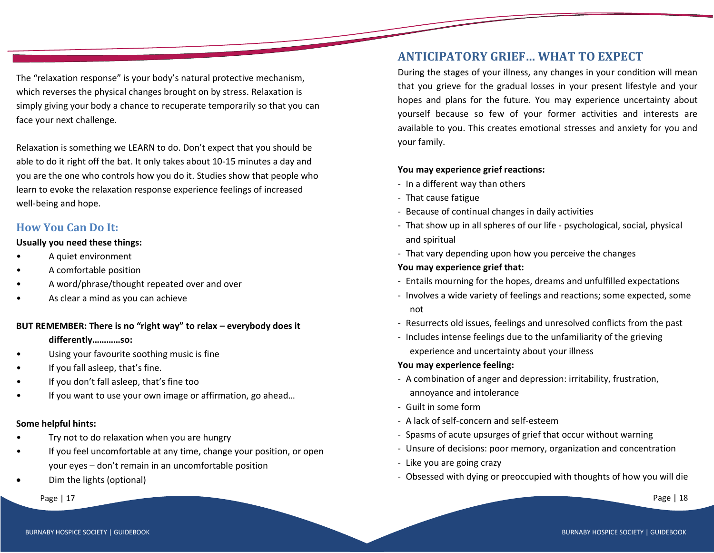The "relaxation response" is your body's natural protective mechanism, which reverses the physical changes brought on by stress. Relaxation is simply giving your body a chance to recuperate temporarily so that you can face your next challenge.

Relaxation is something we LEARN to do. Don't expect that you should be able to do it right off the bat. It only takes about 10-15 minutes a day and you are the one who controls how you do it. Studies show that people who learn to evoke the relaxation response experience feelings of increased well-being and hope.

## **How You Can Do It:**

#### **Usually you need these things:**

- A quiet environment
- A comfortable position
- A word/phrase/thought repeated over and over
- As clear a mind as you can achieve

#### **BUT REMEMBER: There is no "right way" to relax – everybody does it**

#### **differently…………so:**

- Using your favourite soothing music is fine
- If you fall asleep, that's fine.
- If you don't fall asleep, that's fine too
- If you want to use your own image or affirmation, go ahead...

#### **Some helpful hints:**

- Try not to do relaxation when you are hungry
- If you feel uncomfortable at any time, change your position, or open your eyes – don't remain in an uncomfortable position
- Dim the lights (optional)

Page | 17 Page | 18 Page | 18 Page | 18 Page | 18 Page | 18 Page | 18 Page | 18 Page | 18 Page | 18 Page | 18

## **ANTICIPATORY GRIEF… WHAT TO EXPECT**

During the stages of your illness, any changes in your condition will mean that you grieve for the gradual losses in your present lifestyle and your hopes and plans for the future. You may experience uncertainty about yourself because so few of your former activities and interests are available to you. This creates emotional stresses and anxiety for you and your family.

## **You may experience grief reactions:**

- In a different way than others
- That cause fatigue
- Because of continual changes in daily activities
- That show up in all spheres of our life psychological, social, physical and spiritual
- That vary depending upon how you perceive the changes

## **You may experience grief that:**

- Entails mourning for the hopes, dreams and unfulfilled expectations
- Involves a wide variety of feelings and reactions; some expected, some not
- Resurrects old issues, feelings and unresolved conflicts from the past
- Includes intense feelings due to the unfamiliarity of the grieving experience and uncertainty about your illness

## **You may experience feeling:**

- A combination of anger and depression: irritability, frustration, annoyance and intolerance
- Guilt in some form
- A lack of self-concern and self-esteem
- Spasms of acute upsurges of grief that occur without warning
- Unsure of decisions: poor memory, organization and concentration
- Like you are going crazy
- Obsessed with dying or preoccupied with thoughts of how you will die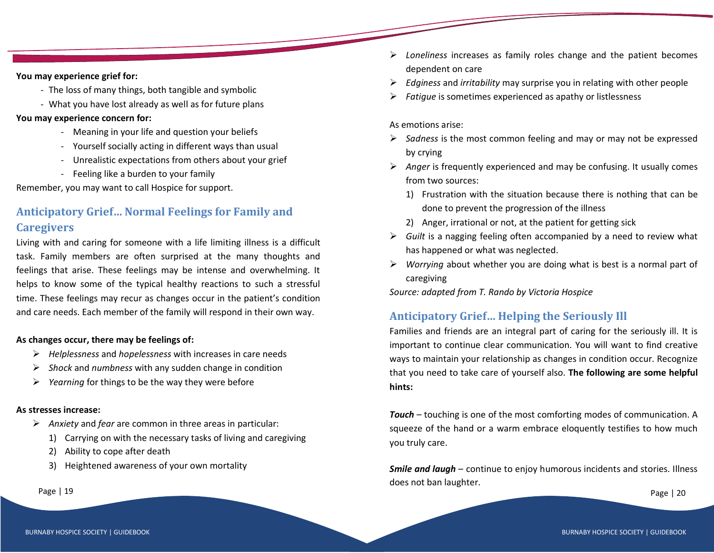#### **You may experience grief for:**

- The loss of many things, both tangible and symbolic
- What you have lost already as well as for future plans

#### **You may experience concern for:**

- Meaning in your life and question your beliefs
- Yourself socially acting in different ways than usual
- Unrealistic expectations from others about your grief
- Feeling like a burden to your family

Remember, you may want to call Hospice for support.

## **Anticipatory Grief… Normal Feelings for Family and Caregivers**

Living with and caring for someone with a life limiting illness is a difficult task. Family members are often surprised at the many thoughts and feelings that arise. These feelings may be intense and overwhelming. It helps to know some of the typical healthy reactions to such a stressful time. These feelings may recur as changes occur in the patient's condition and care needs. Each member of the family will respond in their own way.

#### **As changes occur, there may be feelings of:**

- ➢ *Helplessness* and *hopelessness* with increases in care needs
- ➢ *Shock* and *numbness* with any sudden change in condition
- ➢ *Yearning* for things to be the way they were before

#### **As stresses increase:**

- ➢ *Anxiety* and *fear* are common in three areas in particular:
	- 1) Carrying on with the necessary tasks of living and caregiving
	- 2) Ability to cope after death
	- 3) Heightened awareness of your own mortality

- ➢ *Loneliness* increases as family roles change and the patient becomes dependent on care
- ➢ *Edginess* and *irritability* may surprise you in relating with other people
- ➢ *Fatigue* is sometimes experienced as apathy or listlessness

#### As emotions arise:

- ➢ *Sadness* is the most common feeling and may or may not be expressed by crying
- ➢ *Anger* is frequently experienced and may be confusing. It usually comes from two sources:
	- 1) Frustration with the situation because there is nothing that can be done to prevent the progression of the illness
	- 2) Anger, irrational or not, at the patient for getting sick
- ➢ *Guilt* is a nagging feeling often accompanied by a need to review what has happened or what was neglected.
- ➢ *Worrying* about whether you are doing what is best is a normal part of caregiving

*Source: adapted from T. Rando by Victoria Hospice*

## **Anticipatory Grief… Helping the Seriously Ill**

Families and friends are an integral part of caring for the seriously ill. It is important to continue clear communication. You will want to find creative ways to maintain your relationship as changes in condition occur. Recognize that you need to take care of yourself also. **The following are some helpful hints:**

*Touch* – touching is one of the most comforting modes of communication. A squeeze of the hand or a warm embrace eloquently testifies to how much you truly care.

*Smile and laugh* – continue to enjoy humorous incidents and stories. Illness does not ban laughter.

Page | 19 Page | 20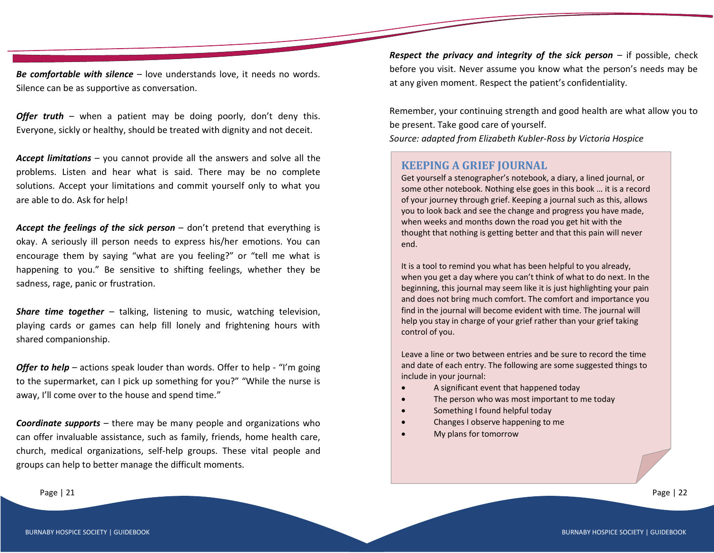*Be comfortable with silence* – love understands love, it needs no words. Silence can be as supportive as conversation.

*Offer truth* – when a patient may be doing poorly, don't deny this. Everyone, sickly or healthy, should be treated with dignity and not deceit.

*Accept limitations* – you cannot provide all the answers and solve all the problems. Listen and hear what is said. There may be no complete solutions. Accept your limitations and commit yourself only to what you are able to do. Ask for help!

*Accept the feelings of the sick person* – don't pretend that everything is okay. A seriously ill person needs to express his/her emotions. You can encourage them by saying "what are you feeling?" or "tell me what is happening to you." Be sensitive to shifting feelings, whether they be sadness, rage, panic or frustration.

*Share time together* – talking, listening to music, watching television, playing cards or games can help fill lonely and frightening hours with shared companionship.

*Offer to help* – actions speak louder than words. Offer to help - "I'm going to the supermarket, can I pick up something for you?" "While the nurse is away, I'll come over to the house and spend time."

*Coordinate supports* – there may be many people and organizations who can offer invaluable assistance, such as family, friends, home health care, church, medical organizations, self-help groups. These vital people and groups can help to better manage the difficult moments.

*Respect the privacy and integrity of the sick person* – if possible, check before you visit. Never assume you know what the person's needs may be at any given moment. Respect the patient's confidentiality.

Remember, your continuing strength and good health are what allow you to be present. Take good care of yourself.

*Source: adapted from Elizabeth Kubler-Ross by Victoria Hospice*

## **KEEPING A GRIEF JOURNAL**

Get yourself a stenographer's notebook, a diary, a lined journal, or some other notebook. Nothing else goes in this book … it is a record of your journey through grief. Keeping a journal such as this, allows you to look back and see the change and progress you have made, when weeks and months down the road you get hit with the thought that nothing is getting better and that this pain will never end.

It is a tool to remind you what has been helpful to you already, when you get a day where you can't think of what to do next. In the beginning, this journal may seem like it is just highlighting your pain and does not bring much comfort. The comfort and importance you find in the journal will become evident with time. The journal will help you stay in charge of your grief rather than your grief taking control of you.

Leave a line or two between entries and be sure to record the time and date of each entry. The following are some suggested things to include in your journal:

- A significant event that happened today
- The person who was most important to me today

The best time to write in this journal is in this journal is in this journal is in the evening at least and  $\beta$ 

This is the time that loneliness and despair can sink in. By writing and focusing on the changes and the things that have been helpful,

 $S_{\rm eff}$  find that writing about that writing about the intervals about the intervals of  $\sigma$ 

Something I found helpful today

you can actually take charge of your grief.

- Changes I observe happening to me
- My plans for tomorrow

Page | 21 Page | 22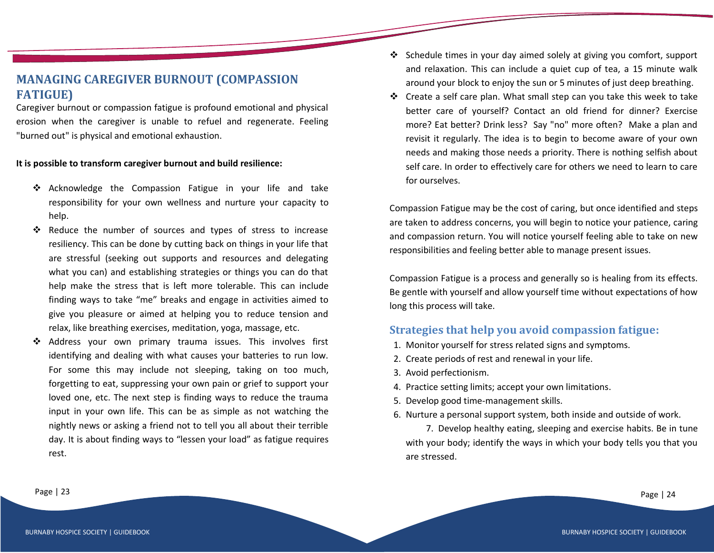## **MANAGING CAREGIVER BURNOUT (COMPASSION FATIGUE)**

Caregiver burnout or compassion fatigue is profound emotional and physical erosion when the caregiver is unable to refuel and regenerate. Feeling "burned out" is physical and emotional exhaustion.

## **It is possible to transform caregiver burnout and build resilience:**

- ❖ Acknowledge the Compassion Fatigue in your life and take responsibility for your own wellness and nurture your capacity to help.
- ❖ Reduce the number of sources and types of stress to increase resiliency. This can be done by cutting back on things in your life that are stressful (seeking out supports and resources and delegating what you can) and establishing strategies or things you can do that help make the stress that is left more tolerable. This can include finding ways to take "me" breaks and engage in activities aimed to give you pleasure or aimed at helping you to reduce tension and relax, like breathing exercises, meditation, yoga, massage, etc.
- Address your own primary trauma issues. This involves first identifying and dealing with what causes your batteries to run low. For some this may include not sleeping, taking on too much, forgetting to eat, suppressing your own pain or grief to support your loved one, etc. The next step is finding ways to reduce the trauma input in your own life. This can be as simple as not watching the nightly news or asking a friend not to tell you all about their terrible day. It is about finding ways to "lessen your load" as fatigue requires rest.
- ❖ Schedule times in your day aimed solely at giving you comfort, support and relaxation. This can include a quiet cup of tea, a 15 minute walk around your block to enjoy the sun or 5 minutes of just deep breathing.
- ❖ Create a self care plan. What small step can you take this week to take better care of yourself? Contact an old friend for dinner? Exercise more? Eat better? Drink less? Say "no" more often? Make a plan and revisit it regularly. The idea is to begin to become aware of your own needs and making those needs a priority. There is nothing selfish about self care. In order to effectively care for others we need to learn to care for ourselves.

Compassion Fatigue may be the cost of caring, but once identified and steps are taken to address concerns, you will begin to notice your patience, caring and compassion return. You will notice yourself feeling able to take on new responsibilities and feeling better able to manage present issues.

Compassion Fatigue is a process and generally so is healing from its effects. Be gentle with yourself and allow yourself time without expectations of how long this process will take.

## **Strategies that help you avoid compassion fatigue:**

- 1. Monitor yourself for stress related signs and symptoms.
- 2. Create periods of rest and renewal in your life.
- 3. Avoid perfectionism.
- 4. Practice setting limits; accept your own limitations.
- 5. Develop good time-management skills.
- 6. Nurture a personal support system, both inside and outside of work.

7. Develop healthy eating, sleeping and exercise habits. Be in tune with your body; identify the ways in which your body tells you that you are stressed.

Page | 23 Page | 24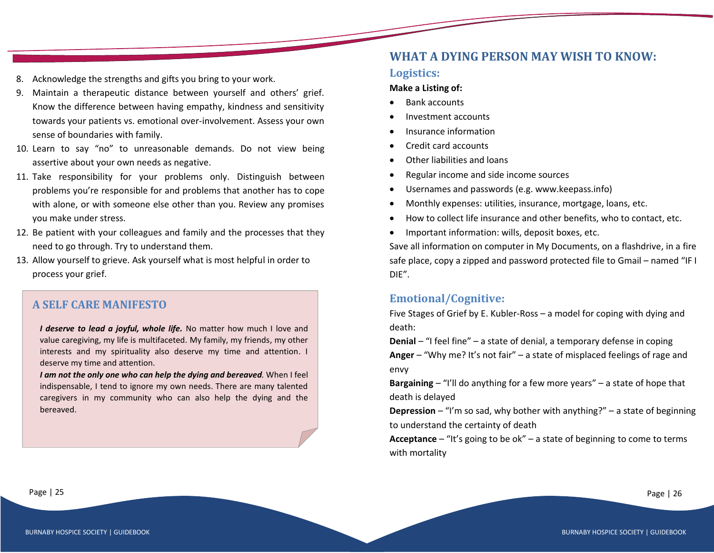- 8. Acknowledge the strengths and gifts you bring to your work.
- 9. Maintain a therapeutic distance between yourself and others' grief. Know the difference between having empathy, kindness and sensitivity towards your patients vs. emotional over-involvement. Assess your own sense of boundaries with family.
- 10. Learn to say "no" to unreasonable demands. Do not view being assertive about your own needs as negative.
- 11. Take responsibility for your problems only. Distinguish between problems you're responsible for and problems that another has to cope with alone, or with someone else other than you. Review any promises you make under stress.
- 12. Be patient with your colleagues and family and the processes that they need to go through. Try to understand them.
- 13. Allow yourself to grieve. Ask yourself what is most helpful in order to process your grief.

## **A SELF CARE MANIFESTO**

*I deserve to lead a joyful, whole life.* No matter how much I love and value caregiving, my life is multifaceted. My family, my friends, my other interests and my spirituality also deserve my time and attention. I deserve my time and attention.

*I am not the only one who can help the dying and bereaved.* When I feel indispensable, I tend to ignore my own needs. There are many talented caregivers in my community who can also help the dying and the bereaved.

## **WHAT A DYING PERSON MAY WISH TO KNOW:**

## **Logistics:**

#### **Make a Listing of:**

- Bank accounts
- Investment accounts
- Insurance information
- Credit card accounts
- Other liabilities and loans
- Regular income and side income sources
- Usernames and passwords (e.g. www.keepass.info)
- Monthly expenses: utilities, insurance, mortgage, loans, etc.
- How to collect life insurance and other benefits, who to contact, etc.
- Important information: wills, deposit boxes, etc.

Save all information on computer in My Documents, on a flashdrive, in a fire safe place, copy a zipped and password protected file to Gmail – named "IF I DIE".

## **Emotional/Cognitive:**

Five Stages of Grief by E. Kubler-Ross – a model for coping with dying and death:

**Denial** – "I feel fine" – a state of denial, a temporary defense in coping **Anger** – "Why me? It's not fair" – a state of misplaced feelings of rage and envy

**Bargaining** – "I'll do anything for a few more years" – a state of hope that death is delayed

**Depression** – "I'm so sad, why bother with anything?" – a state of beginning to understand the certainty of death

**Acceptance** – "It's going to be ok" – a state of beginning to come to terms with mortality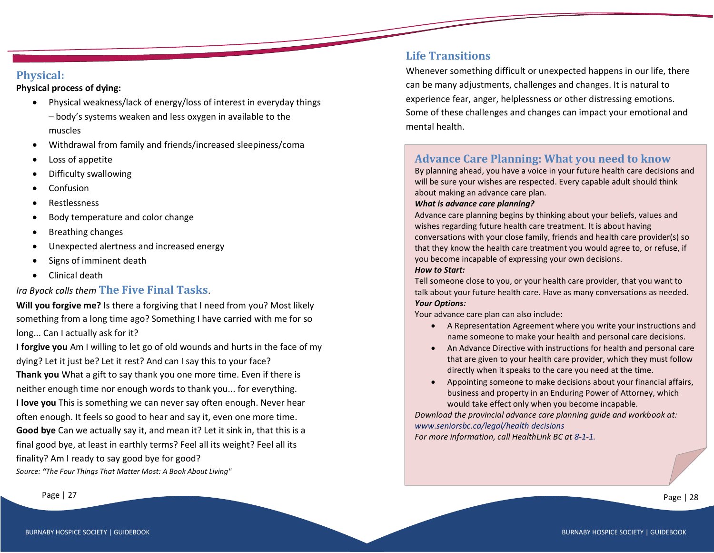## **Physical:**

## **Physical process of dying:**

- Physical weakness/lack of energy/loss of interest in everyday things
	- body's systems weaken and less oxygen in available to the muscles
- Withdrawal from family and friends/increased sleepiness/coma
- Loss of appetite
- Difficulty swallowing
- Confusion
- Restlessness
- Body temperature and color change
- Breathing changes
- Unexpected alertness and increased energy
- Signs of imminent death
- Clinical death

## *Ira Byock calls them* **The Five Final Tasks**.

**Will you forgive me?** Is there a forgiving that I need from you? Most likely something from a long time ago? Something I have carried with me for so long... Can I actually ask for it?

**I forgive you** Am I willing to let go of old wounds and hurts in the face of my dying? Let it just be? Let it rest? And can I say this to your face? **Thank you** What a gift to say thank you one more time. Even if there is neither enough time nor enough words to thank you... for everything. **I love you** This is something we can never say often enough. Never hear often enough. It feels so good to hear and say it, even one more time. **Good bye** Can we actually say it, and mean it? Let it sink in, that this is a final good bye, at least in earthly terms? Feel all its weight? Feel all its finality? Am I ready to say good bye for good? *Source: "The Four Things That Matter Most: A Book About Living"*

## **Life Transitions**

Whenever something difficult or unexpected happens in our life, there can be many adjustments, challenges and changes. It is natural to experience fear, anger, helplessness or other distressing emotions. Some of these challenges and changes can impact your emotional and mental health.

## **Advance Care Planning: What you need to know**

By planning ahead, you have a voice in your future health care decisions and will be sure your wishes are respected. Every capable adult should think about making an advance care plan.

#### *What is advance care planning?*

Advance care planning begins by thinking about your beliefs, values and wishes regarding future health care treatment. It is about having conversations with your close family, friends and health care provider(s) so that they know the health care treatment you would agree to, or refuse, if you become incapable of expressing your own decisions.

#### *How to Start:*

Tell someone close to you, or your health care provider, that you want to talk about your future health care. Have as many conversations as needed. *Your Options:*

Your advance care plan can also include:

- A Representation Agreement where you write your instructions and name someone to make your health and personal care decisions.
- An Advance Directive with instructions for health and personal care that are given to your health care provider, which they must follow directly when it speaks to the care you need at the time.
- Appointing someone to make decisions about your financial affairs, business and property in an Enduring Power of Attorney, which would take effect only when you become incapable.

*Download the provincial advance care planning guide and workbook at: www.seniorsbc.ca/legal/health decisions*

*For more information, call HealthLink BC at 8-1-1.*

Page | 27 Page | 28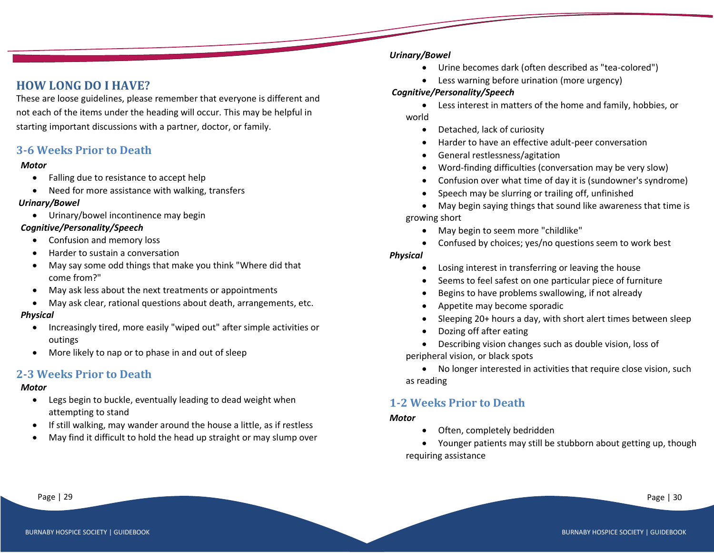## **HOW LONG DO I HAVE?**

These are loose guidelines, please remember that everyone is different and not each of the items under the heading will occur. This may be helpful in starting important discussions with a partner, doctor, or family.

## **3-6 Weeks Prior to Death**

#### *Motor*

- Falling due to resistance to accept help
- Need for more assistance with walking, transfers

#### *Urinary/Bowel*

• Urinary/bowel incontinence may begin

#### *Cognitive/Personality/Speech*

- Confusion and memory loss
- Harder to sustain a conversation
- May say some odd things that make you think "Where did that come from?"
- May ask less about the next treatments or appointments
- May ask clear, rational questions about death, arrangements, etc.

#### *Physical*

- Increasingly tired, more easily "wiped out" after simple activities or outings
- More likely to nap or to phase in and out of sleep

## **2-3 Weeks Prior to Death**

#### *Motor*

- Legs begin to buckle, eventually leading to dead weight when attempting to stand
- If still walking, may wander around the house a little, as if restless
- May find it difficult to hold the head up straight or may slump over

#### *Urinary/Bowel*

- Urine becomes dark (often described as "tea-colored")
- Less warning before urination (more urgency)

## *Cognitive/Personality/Speech*

- Less interest in matters of the home and family, hobbies, or world
	- Detached, lack of curiosity
	- Harder to have an effective adult-peer conversation
	- General restlessness/agitation
	- Word-finding difficulties (conversation may be very slow)
	- Confusion over what time of day it is (sundowner's syndrome)
	- Speech may be slurring or trailing off, unfinished
- May begin saying things that sound like awareness that time is growing short
	- May begin to seem more "childlike"
	- Confused by choices; yes/no questions seem to work best

#### *Physical*

- Losing interest in transferring or leaving the house
- Seems to feel safest on one particular piece of furniture
- Begins to have problems swallowing, if not already
- Appetite may become sporadic
- Sleeping 20+ hours a day, with short alert times between sleep
- Dozing off after eating
- Describing vision changes such as double vision, loss of peripheral vision, or black spots
- No longer interested in activities that require close vision, such as reading

## **1-2 Weeks Prior to Death**

#### *Motor*

- Often, completely bedridden
- Younger patients may still be stubborn about getting up, though requiring assistance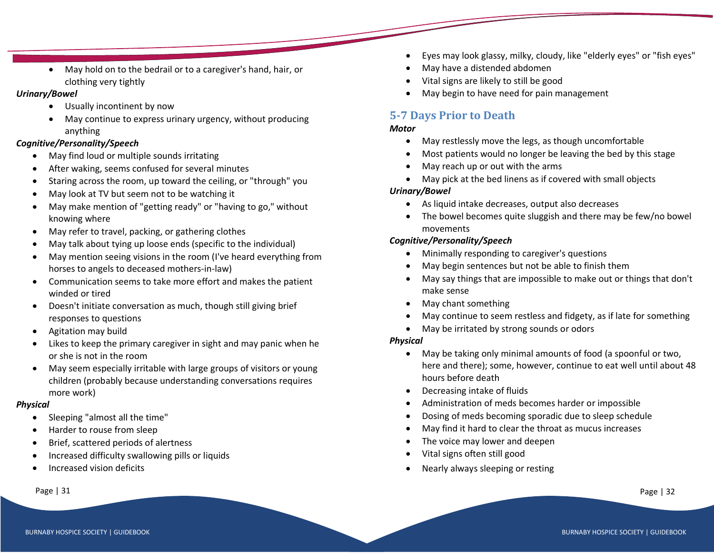• May hold on to the bedrail or to a caregiver's hand, hair, or clothing very tightly

## *Urinary/Bowel*

- Usually incontinent by now
- May continue to express urinary urgency, without producing anything

## *Cognitive/Personality/Speech*

- May find loud or multiple sounds irritating
- After waking, seems confused for several minutes
- Staring across the room, up toward the ceiling, or "through" you
- May look at TV but seem not to be watching it
- May make mention of "getting ready" or "having to go," without knowing where
- May refer to travel, packing, or gathering clothes
- May talk about tying up loose ends (specific to the individual)
- May mention seeing visions in the room (I've heard everything from horses to angels to deceased mothers-in-law)
- Communication seems to take more effort and makes the patient winded or tired
- Doesn't initiate conversation as much, though still giving brief responses to questions
- Agitation may build
- Likes to keep the primary caregiver in sight and may panic when he or she is not in the room
- May seem especially irritable with large groups of visitors or young children (probably because understanding conversations requires more work)

## *Physical*

- Sleeping "almost all the time"
- Harder to rouse from sleep
- Brief, scattered periods of alertness
- Increased difficulty swallowing pills or liquids
- Increased vision deficits

- Eyes may look glassy, milky, cloudy, like "elderly eyes" or "fish eyes"
- May have a distended abdomen
- Vital signs are likely to still be good
- May begin to have need for pain management

## **5-7 Days Prior to Death**

## *Motor*

- May restlessly move the legs, as though uncomfortable
- Most patients would no longer be leaving the bed by this stage
- May reach up or out with the arms
- May pick at the bed linens as if covered with small objects

## *Urinary/Bowel*

- As liquid intake decreases, output also decreases
- The bowel becomes quite sluggish and there may be few/no bowel movements

## *Cognitive/Personality/Speech*

- Minimally responding to caregiver's questions
- May begin sentences but not be able to finish them
- May say things that are impossible to make out or things that don't make sense
- May chant something
- May continue to seem restless and fidgety, as if late for something
- May be irritated by strong sounds or odors

## *Physical*

- May be taking only minimal amounts of food (a spoonful or two, here and there); some, however, continue to eat well until about 48 hours before death
- Decreasing intake of fluids
- Administration of meds becomes harder or impossible
- Dosing of meds becoming sporadic due to sleep schedule
- May find it hard to clear the throat as mucus increases
- The voice may lower and deepen
- Vital signs often still good
- Nearly always sleeping or resting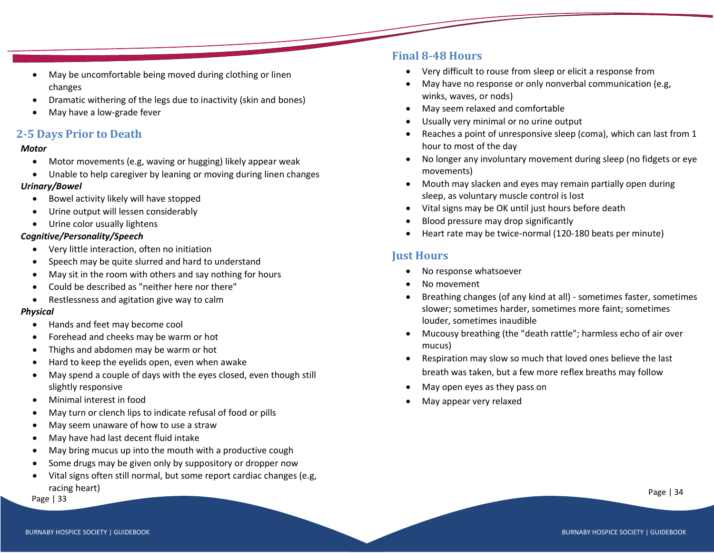- May be uncomfortable being moved during clothing or linen changes
- Dramatic withering of the legs due to inactivity (skin and bones)
- May have a low-grade fever

## **2-5 Days Prior to Death**

#### *Motor*

- Motor movements (e.g, waving or hugging) likely appear weak
- Unable to help caregiver by leaning or moving during linen changes

## *Urinary/Bowel*

- Bowel activity likely will have stopped
- Urine output will lessen considerably
- Urine color usually lightens

## *Cognitive/Personality/Speech*

- Very little interaction, often no initiation
- Speech may be quite slurred and hard to understand
- May sit in the room with others and say nothing for hours
- Could be described as "neither here nor there"
- Restlessness and agitation give way to calm

## *Physical*

- Hands and feet may become cool
- Forehead and cheeks may be warm or hot
- Thighs and abdomen may be warm or hot
- Hard to keep the eyelids open, even when awake
- May spend a couple of days with the eyes closed, even though still slightly responsive
- Minimal interest in food
- May turn or clench lips to indicate refusal of food or pills
- May seem unaware of how to use a straw
- May have had last decent fluid intake
- May bring mucus up into the mouth with a productive cough
- Some drugs may be given only by suppository or dropper now
- Vital signs often still normal, but some report cardiac changes (e.g, racing heart)

Page | 33

## **Final 8-48 Hours**

- Very difficult to rouse from sleep or elicit a response from
- May have no response or only nonverbal communication (e.g, winks, waves, or nods)
- May seem relaxed and comfortable
- Usually very minimal or no urine output
- Reaches a point of unresponsive sleep (coma), which can last from 1 hour to most of the day
- No longer any involuntary movement during sleep (no fidgets or eye movements)
- Mouth may slacken and eyes may remain partially open during sleep, as voluntary muscle control is lost
- Vital signs may be OK until just hours before death
- Blood pressure may drop significantly
- Heart rate may be twice-normal (120-180 beats per minute)

## **Just Hours**

- No response whatsoever
- No movement
- Breathing changes (of any kind at all) sometimes faster, sometimes slower; sometimes harder, sometimes more faint; sometimes louder, sometimes inaudible
- Mucousy breathing (the "death rattle"; harmless echo of air over mucus)
- Respiration may slow so much that loved ones believe the last breath was taken, but a few more reflex breaths may follow
- May open eyes as they pass on
- May appear very relaxed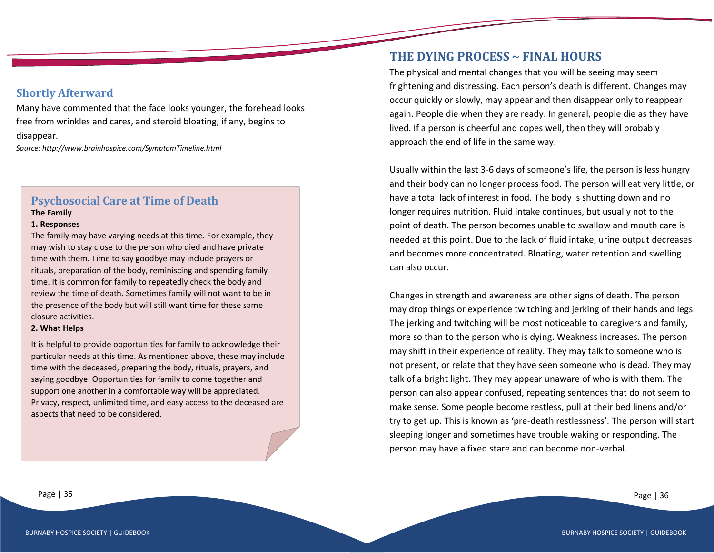## **Shortly Afterward**

ׇ֚֚֬֓֕֓֡֬֓֓֡֬֓֓֡֬֓֓֡֬֓֓֓֡֬֓֓֓֡֬֓֓֡֬֓֓֡֬֓֓֡֬

Many have commented that the face looks younger, the forehead looks free from wrinkles and cares, and steroid bloating, if any, begins to disappear.

*Source: http://www.brainhospice.com/SymptomTimeline.html*

## **Psychosocial Care at Time of Death**

#### **The Family**

#### **1. Responses**

The family may have varying needs at this time. For example, they may wish to stay close to the person who died and have private time with them. Time to say goodbye may include prayers or rituals, preparation of the body, reminiscing and spending family time. It is common for family to repeatedly check the body and review the time of death. Sometimes family will not want to be in the presence of the body but will still want time for these same closure activities.

#### **2. What Helps**

It is helpful to provide opportunities for family to acknowledge their particular needs at this time. As mentioned above, these may include time with the deceased, preparing the body, rituals, prayers, and saying goodbye. Opportunities for family to come together and support one another in a comfortable way will be appreciated. Privacy, respect, unlimited time, and easy access to the deceased are aspects that need to be considered.

This is a time to review information about the steps to be taken information about the steps to be taken in

experiencing. It will be helpful to let family know how to access bereavement services. Both grief handouts and discussion are helpful

## **THE DYING PROCESS ~ FINAL HOURS**

The physical and mental changes that you will be seeing may seem frightening and distressing. Each person's death is different. Changes may occur quickly or slowly, may appear and then disappear only to reappear again. People die when they are ready. In general, people die as they have lived. If a person is cheerful and copes well, then they will probably approach the end of life in the same way.

Usually within the last 3-6 days of someone's life, the person is less hungry and their body can no longer process food. The person will eat very little, or have a total lack of interest in food. The body is shutting down and no longer requires nutrition. Fluid intake continues, but usually not to the point of death. The person becomes unable to swallow and mouth care is needed at this point. Due to the lack of fluid intake, urine output decreases and becomes more concentrated. Bloating, water retention and swelling can also occur.

Changes in strength and awareness are other signs of death. The person may drop things or experience twitching and jerking of their hands and legs. The jerking and twitching will be most noticeable to caregivers and family, more so than to the person who is dying. Weakness increases. The person may shift in their experience of reality. They may talk to someone who is not present, or relate that they have seen someone who is dead. They may talk of a bright light. They may appear unaware of who is with them. The person can also appear confused, repeating sentences that do not seem to make sense. Some people become restless, pull at their bed linens and/or try to get up. This is known as 'pre-death restlessness'. The person will start sleeping longer and sometimes have trouble waking or responding. The person may have a fixed stare and can become non-verbal.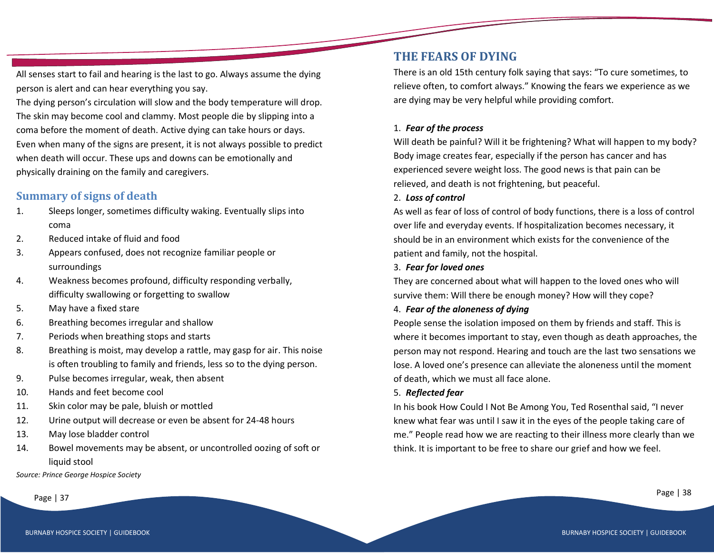All senses start to fail and hearing is the last to go. Always assume the dying person is alert and can hear everything you say.

The dying person's circulation will slow and the body temperature will drop. The skin may become cool and clammy. Most people die by slipping into a coma before the moment of death. Active dying can take hours or days. Even when many of the signs are present, it is not always possible to predict when death will occur. These ups and downs can be emotionally and physically draining on the family and caregivers.

## **Summary of signs of death**

- 1. Sleeps longer, sometimes difficulty waking. Eventually slips into coma
- 2. Reduced intake of fluid and food
- 3. Appears confused, does not recognize familiar people or surroundings
- 4. Weakness becomes profound, difficulty responding verbally, difficulty swallowing or forgetting to swallow
- 5. May have a fixed stare
- 6. Breathing becomes irregular and shallow
- 7. Periods when breathing stops and starts
- 8. Breathing is moist, may develop a rattle, may gasp for air. This noise is often troubling to family and friends, less so to the dying person.
- 9. Pulse becomes irregular, weak, then absent
- 10. Hands and feet become cool
- 11. Skin color may be pale, bluish or mottled
- 12. Urine output will decrease or even be absent for 24-48 hours
- 13. May lose bladder control
- 14. Bowel movements may be absent, or uncontrolled oozing of soft or liquid stool

*Source: Prince George Hospice Society*

## **THE FEARS OF DYING**

There is an old 15th century folk saying that says: "To cure sometimes, to relieve often, to comfort always." Knowing the fears we experience as we are dying may be very helpful while providing comfort.

## 1. *Fear of the process*

Will death be painful? Will it be frightening? What will happen to my body? Body image creates fear, especially if the person has cancer and has experienced severe weight loss. The good news is that pain can be relieved, and death is not frightening, but peaceful.

## 2. *Loss of control*

As well as fear of loss of control of body functions, there is a loss of control over life and everyday events. If hospitalization becomes necessary, it should be in an environment which exists for the convenience of the patient and family, not the hospital.

## 3. *Fear for loved ones*

They are concerned about what will happen to the loved ones who will survive them: Will there be enough money? How will they cope?

## 4. *Fear of the aloneness of dying*

People sense the isolation imposed on them by friends and staff. This is where it becomes important to stay, even though as death approaches, the person may not respond. Hearing and touch are the last two sensations we lose. A loved one's presence can alleviate the aloneness until the moment of death, which we must all face alone.

## 5. *Reflected fear*

In his book How Could I Not Be Among You, Ted Rosenthal said, "I never knew what fear was until I saw it in the eyes of the people taking care of me." People read how we are reacting to their illness more clearly than we think. It is important to be free to share our grief and how we feel.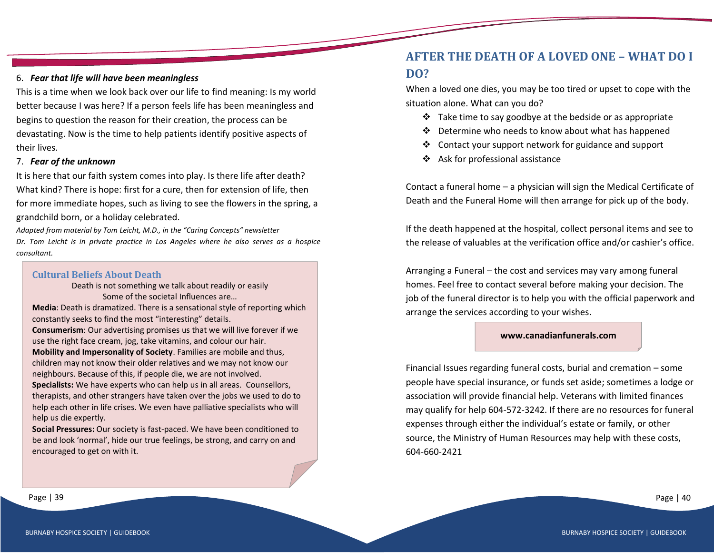#### 6. *Fear that life will have been meaningless*

This is a time when we look back over our life to find meaning: Is my world better because I was here? If a person feels life has been meaningless and begins to question the reason for their creation, the process can be devastating. Now is the time to help patients identify positive aspects of their lives.

#### 7. *Fear of the unknown*

It is here that our faith system comes into play. Is there life after death? What kind? There is hope: first for a cure, then for extension of life, then for more immediate hopes, such as living to see the flowers in the spring, a grandchild born, or a holiday celebrated.

*Adapted from material by Tom Leicht, M.D., in the "Caring Concepts" newsletter Dr. Tom Leicht is in private practice in Los Angeles where he also serves as a hospice consultant.*

#### **Cultural Beliefs About Death**

Death is not something we talk about readily or easily Some of the societal Influences are…

**Media**: Death is dramatized. There is a sensational style of reporting which constantly seeks to find the most "interesting" details.

**Consumerism**: Our advertising promises us that we will live forever if we use the right face cream, jog, take vitamins, and colour our hair.

**Mobility and Impersonality of Society**. Families are mobile and thus, children may not know their older relatives and we may not know our neighbours. Because of this, if people die, we are not involved.

**Specialists:** We have experts who can help us in all areas. Counsellors, therapists, and other strangers have taken over the jobs we used to do to help each other in life crises. We even have palliative specialists who will help us die expertly.

**Social Pressures:** Our society is fast-paced. We have been conditioned to be and look 'normal', hide our true feelings, be strong, and carry on and encouraged to get on with it.

## **AFTER THE DEATH OF A LOVED ONE – WHAT DO I DO?**

When a loved one dies, you may be too tired or upset to cope with the situation alone. What can you do?

- ❖ Take time to say goodbye at the bedside or as appropriate
- ❖ Determine who needs to know about what has happened
- ❖ Contact your support network for guidance and support
- ❖ Ask for professional assistance

Contact a funeral home – a physician will sign the Medical Certificate of Death and the Funeral Home will then arrange for pick up of the body.

If the death happened at the hospital, collect personal items and see to the release of valuables at the verification office and/or cashier's office.

Arranging a Funeral – the cost and services may vary among funeral homes. Feel free to contact several before making your decision. The job of the funeral director is to help you with the official paperwork and arrange the services according to your wishes.

#### **www.canadianfunerals.com**

Financial Issues regarding funeral costs, burial and cremation – some people have special insurance, or funds set aside; sometimes a lodge or association will provide financial help. Veterans with limited finances may qualify for help 604-572-3242. If there are no resources for funeral expenses through either the individual's estate or family, or other source, the Ministry of Human Resources may help with these costs, 604-660-2421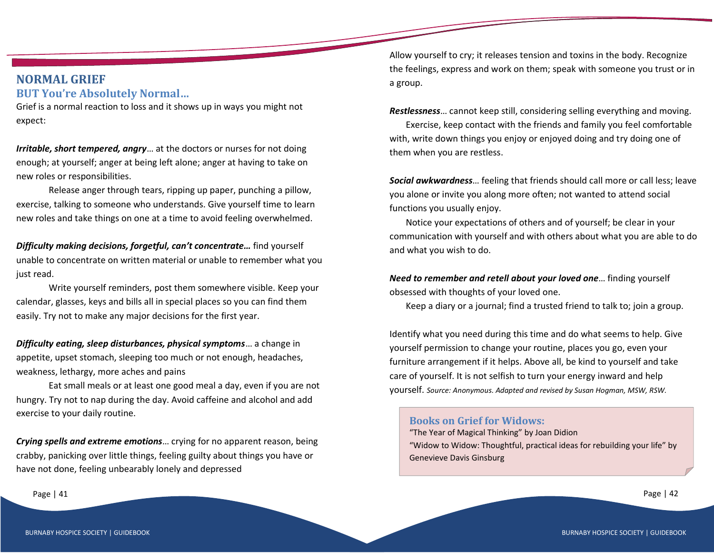## **NORMAL GRIEF BUT You're Absolutely Normal…**

Grief is a normal reaction to loss and it shows up in ways you might not expect:

*Irritable, short tempered, angry*… at the doctors or nurses for not doing enough; at yourself; anger at being left alone; anger at having to take on new roles or responsibilities.

Release anger through tears, ripping up paper, punching a pillow, exercise, talking to someone who understands. Give yourself time to learn new roles and take things on one at a time to avoid feeling overwhelmed.

*Difficulty making decisions, forgetful, can't concentrate…* find yourself unable to concentrate on written material or unable to remember what you just read.

Write yourself reminders, post them somewhere visible. Keep your calendar, glasses, keys and bills all in special places so you can find them easily. Try not to make any major decisions for the first year.

*Difficulty eating, sleep disturbances, physical symptoms*… a change in appetite, upset stomach, sleeping too much or not enough, headaches, weakness, lethargy, more aches and pains

Eat small meals or at least one good meal a day, even if you are not hungry. Try not to nap during the day. Avoid caffeine and alcohol and add exercise to your daily routine.

*Crying spells and extreme emotions*… crying for no apparent reason, being crabby, panicking over little things, feeling guilty about things you have or have not done, feeling unbearably lonely and depressed

Page | 41

Allow yourself to cry; it releases tension and toxins in the body. Recognize the feelings, express and work on them; speak with someone you trust or in a group.

*Restlessness*… cannot keep still, considering selling everything and moving.

Exercise, keep contact with the friends and family you feel comfortable with, write down things you enjoy or enjoyed doing and try doing one of them when you are restless.

*Social awkwardness*… feeling that friends should call more or call less; leave you alone or invite you along more often; not wanted to attend social functions you usually enjoy.

Notice your expectations of others and of yourself; be clear in your communication with yourself and with others about what you are able to do and what you wish to do.

*Need to remember and retell about your loved one*… finding yourself obsessed with thoughts of your loved one.

Keep a diary or a journal; find a trusted friend to talk to; join a group.

Identify what you need during this time and do what seems to help. Give yourself permission to change your routine, places you go, even your furniture arrangement if it helps. Above all, be kind to yourself and take care of yourself. It is not selfish to turn your energy inward and help yourself. *Source: Anonymous. Adapted and revised by Susan Hogman, MSW, RSW.*

#### **Books on Grief for Widows:**

"The Year of Magical Thinking" by Joan Didion "Widow to Widow: Thoughtful, practical ideas for rebuilding your life" by Genevieve Davis Ginsburg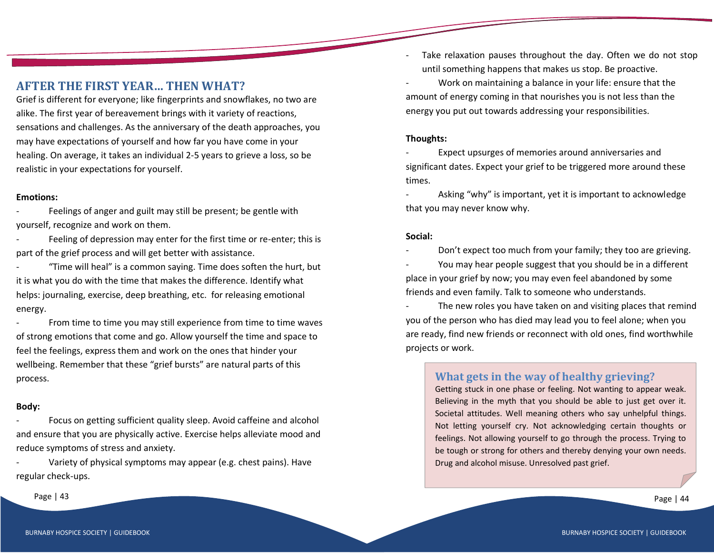## **AFTER THE FIRST YEAR… THEN WHAT?**

Grief is different for everyone; like fingerprints and snowflakes, no two are alike. The first year of bereavement brings with it variety of reactions, sensations and challenges. As the anniversary of the death approaches, you may have expectations of yourself and how far you have come in your healing. On average, it takes an individual 2-5 years to grieve a loss, so be realistic in your expectations for yourself.

#### **Emotions:**

Feelings of anger and guilt may still be present; be gentle with yourself, recognize and work on them.

Feeling of depression may enter for the first time or re-enter; this is part of the grief process and will get better with assistance.

"Time will heal" is a common saying. Time does soften the hurt, but it is what you do with the time that makes the difference. Identify what helps: journaling, exercise, deep breathing, etc. for releasing emotional energy.

From time to time you may still experience from time to time waves of strong emotions that come and go. Allow yourself the time and space to feel the feelings, express them and work on the ones that hinder your wellbeing. Remember that these "grief bursts" are natural parts of this process.

#### **Body:**

Focus on getting sufficient quality sleep. Avoid caffeine and alcohol and ensure that you are physically active. Exercise helps alleviate mood and reduce symptoms of stress and anxiety.

Variety of physical symptoms may appear (e.g. chest pains). Have regular check-ups.

Page | 43 Page | 44 Page | 44 Page | 44 Page | 44 Page | 44 Page | 44 Page | 44 Page | 44 Page | 44 Page | 44

- Take relaxation pauses throughout the day. Often we do not stop until something happens that makes us stop. Be proactive.
- Work on maintaining a balance in your life: ensure that the amount of energy coming in that nourishes you is not less than the energy you put out towards addressing your responsibilities.

## **Thoughts:**

Expect upsurges of memories around anniversaries and significant dates. Expect your grief to be triggered more around these times.

Asking "why" is important, yet it is important to acknowledge that you may never know why.

#### **Social:**

Don't expect too much from your family; they too are grieving.

You may hear people suggest that you should be in a different place in your grief by now; you may even feel abandoned by some friends and even family. Talk to someone who understands.

The new roles you have taken on and visiting places that remind you of the person who has died may lead you to feel alone; when you are ready, find new friends or reconnect with old ones, find worthwhile projects or work.

## **What gets in the way of healthy grieving?**

Getting stuck in one phase or feeling. Not wanting to appear weak. Believing in the myth that you should be able to just get over it. Societal attitudes. Well meaning others who say unhelpful things. Not letting yourself cry. Not acknowledging certain thoughts or feelings. Not allowing yourself to go through the process. Trying to be tough or strong for others and thereby denying your own needs. Drug and alcohol misuse. Unresolved past grief.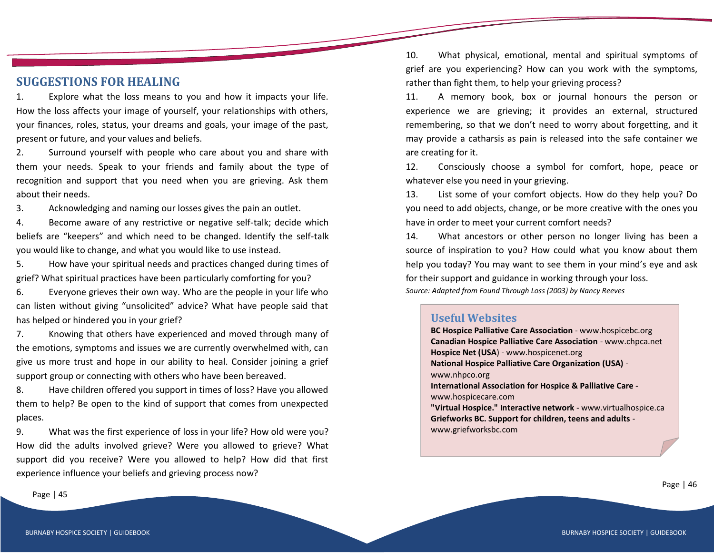## **SUGGESTIONS FOR HEALING**

1. Explore what the loss means to you and how it impacts your life. How the loss affects your image of yourself, your relationships with others, your finances, roles, status, your dreams and goals, your image of the past, present or future, and your values and beliefs.

2. Surround yourself with people who care about you and share with them your needs. Speak to your friends and family about the type of recognition and support that you need when you are grieving. Ask them about their needs.

3. Acknowledging and naming our losses gives the pain an outlet.

4. Become aware of any restrictive or negative self-talk; decide which beliefs are "keepers" and which need to be changed. Identify the self-talk you would like to change, and what you would like to use instead.

5. How have your spiritual needs and practices changed during times of grief? What spiritual practices have been particularly comforting for you?

6. Everyone grieves their own way. Who are the people in your life who can listen without giving "unsolicited" advice? What have people said that has helped or hindered you in your grief?

7. Knowing that others have experienced and moved through many of the emotions, symptoms and issues we are currently overwhelmed with, can give us more trust and hope in our ability to heal. Consider joining a grief support group or connecting with others who have been bereaved.

8. Have children offered you support in times of loss? Have you allowed them to help? Be open to the kind of support that comes from unexpected places.

9. What was the first experience of loss in your life? How old were you? How did the adults involved grieve? Were you allowed to grieve? What support did you receive? Were you allowed to help? How did that first experience influence your beliefs and grieving process now?

10. What physical, emotional, mental and spiritual symptoms of grief are you experiencing? How can you work with the symptoms, rather than fight them, to help your grieving process?

11. A memory book, box or journal honours the person or experience we are grieving; it provides an external, structured remembering, so that we don't need to worry about forgetting, and it may provide a catharsis as pain is released into the safe container we are creating for it.

12. Consciously choose a symbol for comfort, hope, peace or whatever else you need in your grieving.

13. List some of your comfort objects. How do they help you? Do you need to add objects, change, or be more creative with the ones you have in order to meet your current comfort needs?

14. What ancestors or other person no longer living has been a source of inspiration to you? How could what you know about them help you today? You may want to see them in your mind's eye and ask for their support and guidance in working through your loss. *Source: Adapted from Found Through Loss (2003) by Nancy Reeves*

#### **Useful Websites**

**BC Hospice Palliative Care Association** - www.hospicebc.org **Canadian Hospice Palliative Care Association** - www.chpca.net **Hospice Net (USA**) - www.hospicenet.org **National Hospice Palliative Care Organization (USA)** www.nhpco.org **International Association for Hospice & Palliative Care** www.hospicecare.com **"Virtual Hospice." Interactive network** - www.virtualhospice.ca

**Griefworks BC. Support for children, teens and adults** www.griefworksbc.com

Page | 45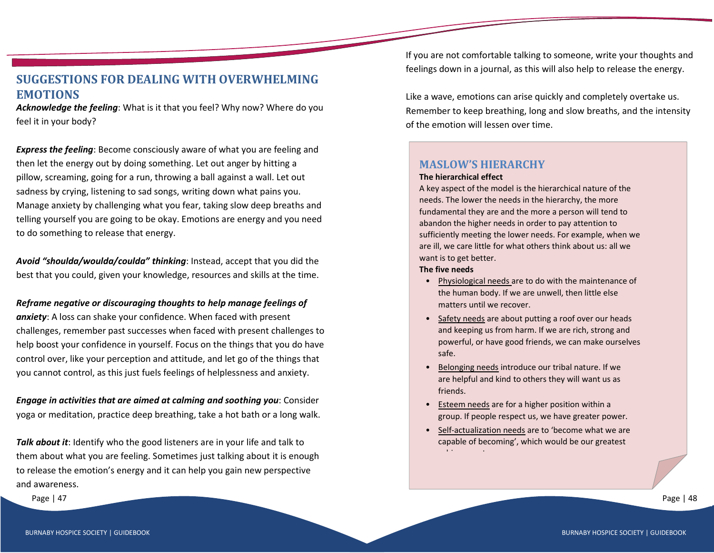## **SUGGESTIONS FOR DEALING WITH OVERWHELMING EMOTIONS**

*Acknowledge the feeling*: What is it that you feel? Why now? Where do you feel it in your body?

*Express the feeling*: Become consciously aware of what you are feeling and then let the energy out by doing something. Let out anger by hitting a pillow, screaming, going for a run, throwing a ball against a wall. Let out sadness by crying, listening to sad songs, writing down what pains you. Manage anxiety by challenging what you fear, taking slow deep breaths and telling yourself you are going to be okay. Emotions are energy and you need to do something to release that energy.

*Avoid "shoulda/woulda/coulda" thinking*: Instead, accept that you did the best that you could, given your knowledge, resources and skills at the time.

#### *Reframe negative or discouraging thoughts to help manage feelings of*

*anxiety*: A loss can shake your confidence. When faced with present challenges, remember past successes when faced with present challenges to help boost your confidence in yourself. Focus on the things that you do have control over, like your perception and attitude, and let go of the things that you cannot control, as this just fuels feelings of helplessness and anxiety.

*Engage in activities that are aimed at calming and soothing you*: Consider yoga or meditation, practice deep breathing, take a hot bath or a long walk.

*Talk about it*: Identify who the good listeners are in your life and talk to them about what you are feeling. Sometimes just talking about it is enough to release the emotion's energy and it can help you gain new perspective and awareness.

Page | 47

If you are not comfortable talking to someone, write your thoughts and feelings down in a journal, as this will also help to release the energy.

Like a wave, emotions can arise quickly and completely overtake us. Remember to keep breathing, long and slow breaths, and the intensity of the emotion will lessen over time.

## **MASLOW'S HIERARCHY**

#### **The hierarchical effect**

A key aspect of the model is the hierarchical nature of the needs. The lower the needs in the hierarchy, the more fundamental they are and the more a person will tend to abandon the higher needs in order to pay attention to sufficiently meeting the lower needs. For example, when we are ill, we care little for what others think about us: all we want is to get better.

#### **The five needs**

- Physiological needs are to do with the maintenance of the human body. If we are unwell, then little else matters until we recover.
- Safety needs are about putting a roof over our heads and keeping us from harm. If we are rich, strong and powerful, or have good friends, we can make ourselves safe.
- Belonging needs introduce our tribal nature. If we are helpful and kind to others they will want us as friends.
- Esteem needs are for a higher position within a group. If people respect us, we have greater power.
- Self-actualization needs are to 'become what we are capable of becoming', which would be our greatest achievement.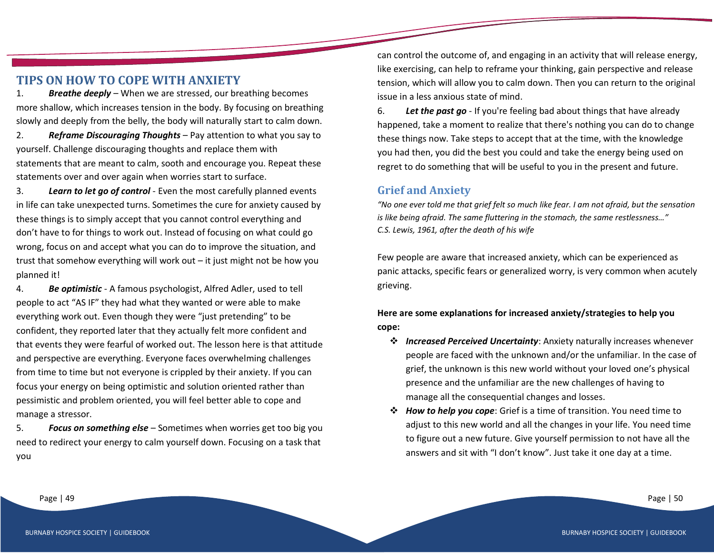## **TIPS ON HOW TO COPE WITH ANXIETY**

1. *Breathe deeply* – When we are stressed, our breathing becomes more shallow, which increases tension in the body. By focusing on breathing slowly and deeply from the belly, the body will naturally start to calm down.

2. *Reframe Discouraging Thoughts* – Pay attention to what you say to yourself. Challenge discouraging thoughts and replace them with statements that are meant to calm, sooth and encourage you. Repeat these statements over and over again when worries start to surface.

3. *Learn to let go of control* - Even the most carefully planned events in life can take unexpected turns. Sometimes the cure for anxiety caused by these things is to simply accept that you cannot control everything and don't have to for things to work out. Instead of focusing on what could go wrong, focus on and accept what you can do to improve the situation, and trust that somehow everything will work out – it just might not be how you planned it!

4. *Be optimistic* - A famous psychologist, Alfred Adler, used to tell people to act "AS IF" they had what they wanted or were able to make everything work out. Even though they were "just pretending" to be confident, they reported later that they actually felt more confident and that events they were fearful of worked out. The lesson here is that attitude and perspective are everything. Everyone faces overwhelming challenges from time to time but not everyone is crippled by their anxiety. If you can focus your energy on being optimistic and solution oriented rather than pessimistic and problem oriented, you will feel better able to cope and manage a stressor.

5. *Focus on something else* – Sometimes when worries get too big you need to redirect your energy to calm yourself down. Focusing on a task that you

can control the outcome of, and engaging in an activity that will release energy, like exercising, can help to reframe your thinking, gain perspective and release tension, which will allow you to calm down. Then you can return to the original issue in a less anxious state of mind.

6. *Let the past go* - If you're feeling bad about things that have already happened, take a moment to realize that there's nothing you can do to change these things now. Take steps to accept that at the time, with the knowledge you had then, you did the best you could and take the energy being used on regret to do something that will be useful to you in the present and future.

## **Grief and Anxiety**

*"No one ever told me that grief felt so much like fear. I am not afraid, but the sensation is like being afraid. The same fluttering in the stomach, the same restlessness…" C.S. Lewis, 1961, after the death of his wife*

Few people are aware that increased anxiety, which can be experienced as panic attacks, specific fears or generalized worry, is very common when acutely grieving.

## **Here are some explanations for increased anxiety/strategies to help you cope:**

- ❖ *Increased Perceived Uncertainty*: Anxiety naturally increases whenever people are faced with the unknown and/or the unfamiliar. In the case of grief, the unknown is this new world without your loved one's physical presence and the unfamiliar are the new challenges of having to manage all the consequential changes and losses.
- ❖ *How to help you cope*: Grief is a time of transition. You need time to adjust to this new world and all the changes in your life. You need time to figure out a new future. Give yourself permission to not have all the answers and sit with "I don't know". Just take it one day at a time.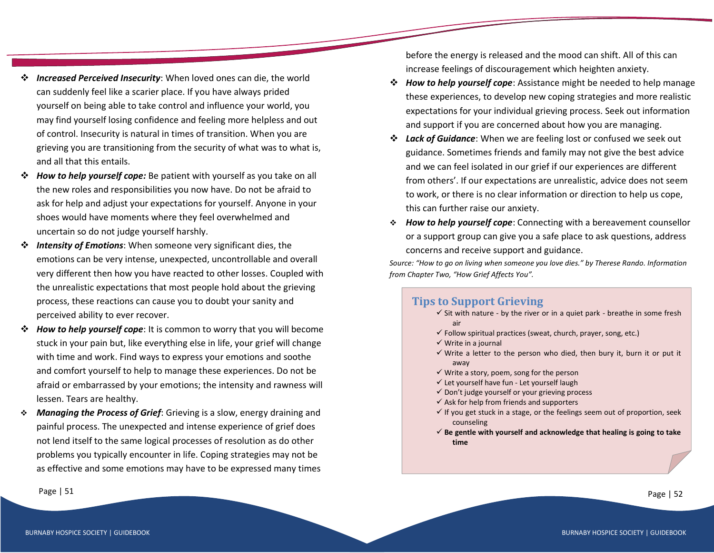- ❖ *Increased Perceived Insecurity*: When loved ones can die, the world can suddenly feel like a scarier place. If you have always prided yourself on being able to take control and influence your world, you may find yourself losing confidence and feeling more helpless and out of control. Insecurity is natural in times of transition. When you are grieving you are transitioning from the security of what was to what is, and all that this entails.
- ❖ *How to help yourself cope:* Be patient with yourself as you take on all the new roles and responsibilities you now have. Do not be afraid to ask for help and adjust your expectations for yourself. Anyone in your shoes would have moments where they feel overwhelmed and uncertain so do not judge yourself harshly.
- ❖ *Intensity of Emotions*: When someone very significant dies, the emotions can be very intense, unexpected, uncontrollable and overall very different then how you have reacted to other losses. Coupled with the unrealistic expectations that most people hold about the grieving process, these reactions can cause you to doubt your sanity and perceived ability to ever recover.
- ❖ *How to help yourself cope*: It is common to worry that you will become stuck in your pain but, like everything else in life, your grief will change with time and work. Find ways to express your emotions and soothe and comfort yourself to help to manage these experiences. Do not be afraid or embarrassed by your emotions; the intensity and rawness will lessen. Tears are healthy.
- ❖ *Managing the Process of Grief*: Grieving is a slow, energy draining and painful process. The unexpected and intense experience of grief does not lend itself to the same logical processes of resolution as do other problems you typically encounter in life. Coping strategies may not be as effective and some emotions may have to be expressed many times

before the energy is released and the mood can shift. All of this can increase feelings of discouragement which heighten anxiety.

- ❖ *How to help yourself cope*: Assistance might be needed to help manage these experiences, to develop new coping strategies and more realistic expectations for your individual grieving process. Seek out information and support if you are concerned about how you are managing.
- ❖ *Lack of Guidance*: When we are feeling lost or confused we seek out guidance. Sometimes friends and family may not give the best advice and we can feel isolated in our grief if our experiences are different from others'. If our expectations are unrealistic, advice does not seem to work, or there is no clear information or direction to help us cope, this can further raise our anxiety.
- ❖ *How to help yourself cope*: Connecting with a bereavement counsellor or a support group can give you a safe place to ask questions, address concerns and receive support and guidance.

*Source: "How to go on living when someone you love dies." by Therese Rando. Information from Chapter Two, "How Grief Affects You".*

## **Tips to Support Grieving**

- $\checkmark$  Sit with nature by the river or in a quiet park breathe in some fresh air
- $\checkmark$  Follow spiritual practices (sweat, church, prayer, song, etc.)
- ✓ Write in a journal
- $\checkmark$  Write a letter to the person who died, then bury it, burn it or put it away
- $\checkmark$  Write a story, poem, song for the person
- ✓ Let yourself have fun Let yourself laugh
- $\checkmark$  Don't judge yourself or your grieving process
- $\checkmark$  Ask for help from friends and supporters
- $\checkmark$  If you get stuck in a stage, or the feelings seem out of proportion, seek counseling
- ✓ **Be gentle with yourself and acknowledge that healing is going to take time**

Page | 51 Page | 52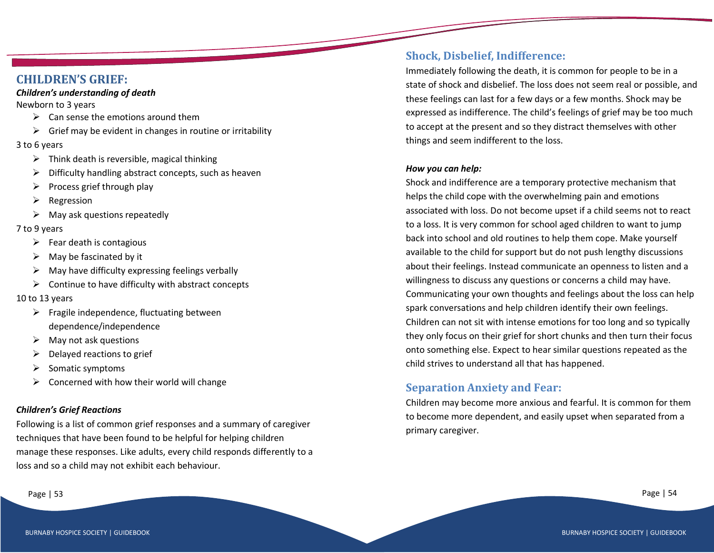## **CHILDREN'S GRIEF:**

#### *Children's understanding of death*

Newborn to 3 years

- $\triangleright$  Can sense the emotions around them
- $\triangleright$  Grief may be evident in changes in routine or irritability

#### 3 to 6 years

- $\triangleright$  Think death is reversible, magical thinking
- ➢ Difficulty handling abstract concepts, such as heaven
- $\triangleright$  Process grief through play
- $\triangleright$  Regression
- $\triangleright$  May ask questions repeatedly

## 7 to 9 years

- $\triangleright$  Fear death is contagious
- $\triangleright$  May be fascinated by it
- $\triangleright$  May have difficulty expressing feelings verbally
- $\triangleright$  Continue to have difficulty with abstract concepts
- 10 to 13 years
	- $\triangleright$  Fragile independence, fluctuating between dependence/independence
	- $\triangleright$  May not ask questions
	- $\triangleright$  Delayed reactions to grief
	- $\triangleright$  Somatic symptoms
	- $\triangleright$  Concerned with how their world will change

## *Children's Grief Reactions*

Following is a list of common grief responses and a summary of caregiver techniques that have been found to be helpful for helping children manage these responses. Like adults, every child responds differently to a loss and so a child may not exhibit each behaviour.

## **Shock, Disbelief, Indifference:**

Immediately following the death, it is common for people to be in a state of shock and disbelief. The loss does not seem real or possible, and these feelings can last for a few days or a few months. Shock may be expressed as indifference. The child's feelings of grief may be too much to accept at the present and so they distract themselves with other things and seem indifferent to the loss.

#### *How you can help:*

Shock and indifference are a temporary protective mechanism that helps the child cope with the overwhelming pain and emotions associated with loss. Do not become upset if a child seems not to react to a loss. It is very common for school aged children to want to jump back into school and old routines to help them cope. Make yourself available to the child for support but do not push lengthy discussions about their feelings. Instead communicate an openness to listen and a willingness to discuss any questions or concerns a child may have. Communicating your own thoughts and feelings about the loss can help spark conversations and help children identify their own feelings. Children can not sit with intense emotions for too long and so typically they only focus on their grief for short chunks and then turn their focus onto something else. Expect to hear similar questions repeated as the child strives to understand all that has happened.

## **Separation Anxiety and Fear:**

Children may become more anxious and fearful. It is common for them to become more dependent, and easily upset when separated from a primary caregiver.

Page | 53 Page | 54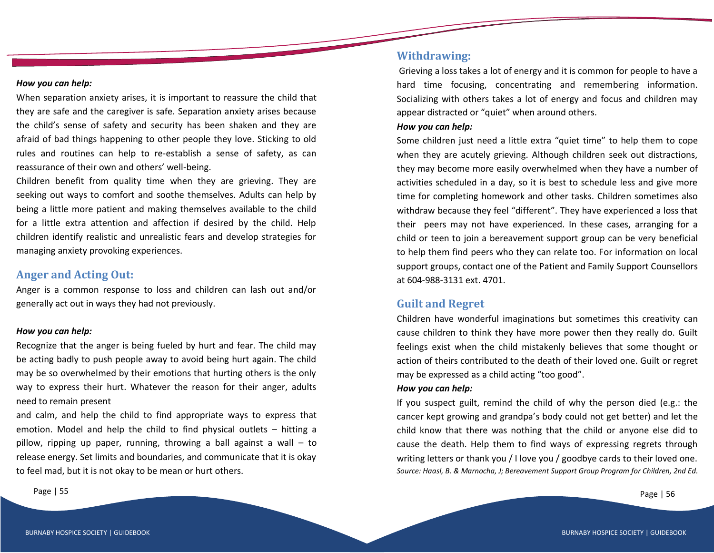#### *How you can help:*

When separation anxiety arises, it is important to reassure the child that they are safe and the caregiver is safe. Separation anxiety arises because the child's sense of safety and security has been shaken and they are afraid of bad things happening to other people they love. Sticking to old rules and routines can help to re-establish a sense of safety, as can reassurance of their own and others' well-being.

Children benefit from quality time when they are grieving. They are seeking out ways to comfort and soothe themselves. Adults can help by being a little more patient and making themselves available to the child for a little extra attention and affection if desired by the child. Help children identify realistic and unrealistic fears and develop strategies for managing anxiety provoking experiences.

## **Anger and Acting Out:**

Anger is a common response to loss and children can lash out and/or generally act out in ways they had not previously.

#### *How you can help:*

Recognize that the anger is being fueled by hurt and fear. The child may be acting badly to push people away to avoid being hurt again. The child may be so overwhelmed by their emotions that hurting others is the only way to express their hurt. Whatever the reason for their anger, adults need to remain present

and calm, and help the child to find appropriate ways to express that emotion. Model and help the child to find physical outlets – hitting a pillow, ripping up paper, running, throwing a ball against a wall – to release energy. Set limits and boundaries, and communicate that it is okay to feel mad, but it is not okay to be mean or hurt others.

## **Withdrawing:**

Grieving a loss takes a lot of energy and it is common for people to have a hard time focusing, concentrating and remembering information. Socializing with others takes a lot of energy and focus and children may appear distracted or "quiet" when around others.

#### *How you can help:*

Some children just need a little extra "quiet time" to help them to cope when they are acutely grieving. Although children seek out distractions, they may become more easily overwhelmed when they have a number of activities scheduled in a day, so it is best to schedule less and give more time for completing homework and other tasks. Children sometimes also withdraw because they feel "different". They have experienced a loss that their peers may not have experienced. In these cases, arranging for a child or teen to join a bereavement support group can be very beneficial to help them find peers who they can relate too. For information on local support groups, contact one of the Patient and Family Support Counsellors at 604-988-3131 ext. 4701.

## **Guilt and Regret**

Children have wonderful imaginations but sometimes this creativity can cause children to think they have more power then they really do. Guilt feelings exist when the child mistakenly believes that some thought or action of theirs contributed to the death of their loved one. Guilt or regret may be expressed as a child acting "too good".

#### *How you can help:*

If you suspect guilt, remind the child of why the person died (e.g.: the cancer kept growing and grandpa's body could not get better) and let the child know that there was nothing that the child or anyone else did to cause the death. Help them to find ways of expressing regrets through writing letters or thank you / I love you / goodbye cards to their loved one. *Source: Haasl, B. & Marnocha, J; Bereavement Support Group Program for Children, 2nd Ed.*

Page | 55 Page | 56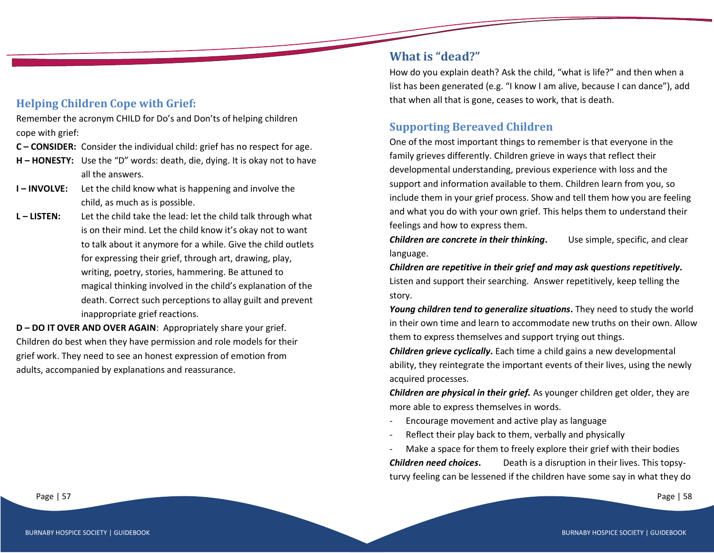## **Helping Children Cope with Grief:**

Remember the acronym CHILD for Do's and Don'ts of helping children cope with grief:

- **C – CONSIDER:** Consider the individual child: grief has no respect for age.
- **H – HONESTY:** Use the "D" words: death, die, dying. It is okay not to have all the answers.
- **I INVOLVE:** Let the child know what is happening and involve the child, as much as is possible.
- **L – LISTEN:** Let the child take the lead: let the child talk through what is on their mind. Let the child know it's okay not to want to talk about it anymore for a while. Give the child outlets for expressing their grief, through art, drawing, play, writing, poetry, stories, hammering. Be attuned to magical thinking involved in the child's explanation of the death. Correct such perceptions to allay guilt and prevent inappropriate grief reactions.

**D – DO IT OVER AND OVER AGAIN**: Appropriately share your grief. Children do best when they have permission and role models for their grief work. They need to see an honest expression of emotion from adults, accompanied by explanations and reassurance.

## **What is "dead?"**

How do you explain death? Ask the child, "what is life?" and then when a list has been generated (e.g. "I know I am alive, because I can dance"), add that when all that is gone, ceases to work, that is death.

## **Supporting Bereaved Children**

One of the most important things to remember is that everyone in the family grieves differently. Children grieve in ways that reflect their developmental understanding, previous experience with loss and the support and information available to them. Children learn from you, so include them in your grief process. Show and tell them how you are feeling and what you do with your own grief. This helps them to understand their feelings and how to express them.

*Children are concrete in their thinking*. Use simple, specific, and clear language.

*Children are repetitive in their grief and may ask questions repetitively***.** Listen and support their searching. Answer repetitively, keep telling the story.

*Young children tend to generalize situations***.** They need to study the world in their own time and learn to accommodate new truths on their own. Allow them to express themselves and support trying out things.

*Children grieve cyclically***.** Each time a child gains a new developmental ability, they reintegrate the important events of their lives, using the newly acquired processes.

*Children are physical in their grief.* As younger children get older, they are more able to express themselves in words.

- Encourage movement and active play as language
- Reflect their play back to them, verbally and physically
- Make a space for them to freely explore their grief with their bodies **Children need choices.** Death is a disruption in their lives. This topsy-

turvy feeling can be lessened if the children have some say in what they do

Page | 57 Page | 58 Page | 58 Page | 58 Page | 58 Page | 58 Page | 58 Page | 58 Page | 58 Page | 58 Page | 58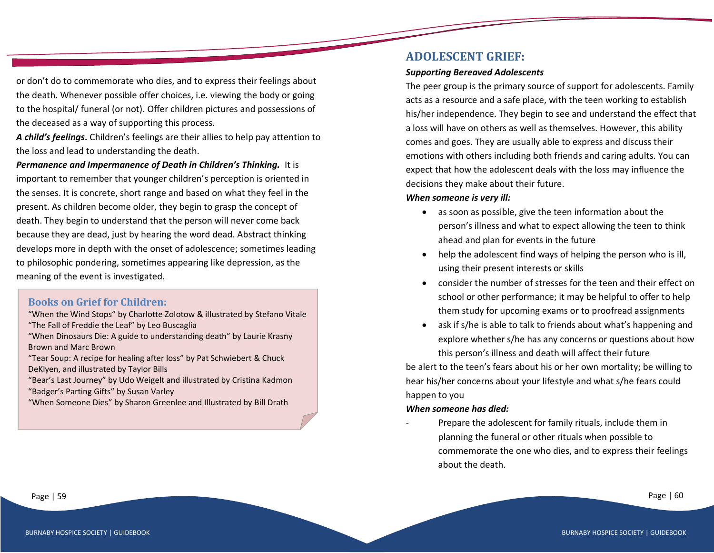or don't do to commemorate who dies, and to express their feelings about the death. Whenever possible offer choices, i.e. viewing the body or going to the hospital/ funeral (or not). Offer children pictures and possessions of the deceased as a way of supporting this process.

*A child's feelings***.** Children's feelings are their allies to help pay attention to the loss and lead to understanding the death.

*Permanence and Impermanence of Death in Children's Thinking.* It is important to remember that younger children's perception is oriented in the senses. It is concrete, short range and based on what they feel in the present. As children become older, they begin to grasp the concept of death. They begin to understand that the person will never come back because they are dead, just by hearing the word dead. Abstract thinking develops more in depth with the onset of adolescence; sometimes leading to philosophic pondering, sometimes appearing like depression, as the meaning of the event is investigated.

## **Books on Grief for Children:**

"When the Wind Stops" by Charlotte Zolotow & illustrated by Stefano Vitale "The Fall of Freddie the Leaf" by Leo Buscaglia

- "When Dinosaurs Die: A guide to understanding death" by Laurie Krasny Brown and Marc Brown
- "Tear Soup: A recipe for healing after loss" by Pat Schwiebert & Chuck DeKlyen, and illustrated by Taylor Bills
- "Bear's Last Journey" by Udo Weigelt and illustrated by Cristina Kadmon "Badger's Parting Gifts" by Susan Varley
- "When Someone Dies" by Sharon Greenlee and Illustrated by Bill Drath

## **ADOLESCENT GRIEF:**

## *Supporting Bereaved Adolescents*

The peer group is the primary source of support for adolescents. Family acts as a resource and a safe place, with the teen working to establish his/her independence. They begin to see and understand the effect that a loss will have on others as well as themselves. However, this ability comes and goes. They are usually able to express and discuss their emotions with others including both friends and caring adults. You can expect that how the adolescent deals with the loss may influence the decisions they make about their future.

## *When someone is very ill:*

- as soon as possible, give the teen information about the person's illness and what to expect allowing the teen to think ahead and plan for events in the future
- help the adolescent find ways of helping the person who is ill, using their present interests or skills
- consider the number of stresses for the teen and their effect on school or other performance; it may be helpful to offer to help them study for upcoming exams or to proofread assignments
- ask if s/he is able to talk to friends about what's happening and explore whether s/he has any concerns or questions about how this person's illness and death will affect their future

be alert to the teen's fears about his or her own mortality; be willing to hear his/her concerns about your lifestyle and what s/he fears could happen to you

## *When someone has died:*

Prepare the adolescent for family rituals, include them in planning the funeral or other rituals when possible to commemorate the one who dies, and to express their feelings about the death.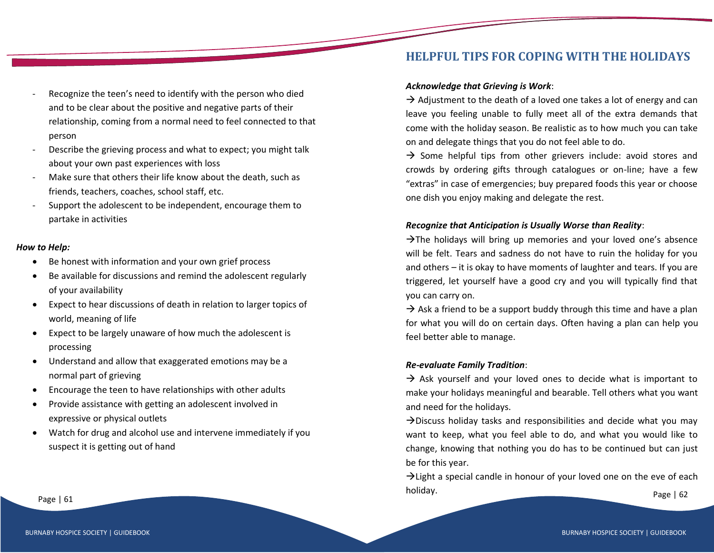- Recognize the teen's need to identify with the person who died and to be clear about the positive and negative parts of their relationship, coming from a normal need to feel connected to that person
- Describe the grieving process and what to expect; you might talk about your own past experiences with loss
- Make sure that others their life know about the death, such as friends, teachers, coaches, school staff, etc.
- Support the adolescent to be independent, encourage them to partake in activities

#### *How to Help:*

- Be honest with information and your own grief process
- Be available for discussions and remind the adolescent regularly of your availability
- Expect to hear discussions of death in relation to larger topics of world, meaning of life
- Expect to be largely unaware of how much the adolescent is processing
- Understand and allow that exaggerated emotions may be a normal part of grieving
- Encourage the teen to have relationships with other adults
- Provide assistance with getting an adolescent involved in expressive or physical outlets
- Watch for drug and alcohol use and intervene immediately if you suspect it is getting out of hand

## **HELPFUL TIPS FOR COPING WITH THE HOLIDAYS**

#### *Acknowledge that Grieving is Work*:

 $\rightarrow$  Adjustment to the death of a loved one takes a lot of energy and can leave you feeling unable to fully meet all of the extra demands that come with the holiday season. Be realistic as to how much you can take on and delegate things that you do not feel able to do.

 $\rightarrow$  Some helpful tips from other grievers include: avoid stores and crowds by ordering gifts through catalogues or on-line; have a few "extras" in case of emergencies; buy prepared foods this year or choose one dish you enjoy making and delegate the rest.

#### *Recognize that Anticipation is Usually Worse than Reality*:

 $\rightarrow$ The holidays will bring up memories and your loved one's absence will be felt. Tears and sadness do not have to ruin the holiday for you and others – it is okay to have moments of laughter and tears. If you are triggered, let yourself have a good cry and you will typically find that you can carry on.

 $\rightarrow$  Ask a friend to be a support buddy through this time and have a plan for what you will do on certain days. Often having a plan can help you feel better able to manage.

## *Re-evaluate Family Tradition*:

 $\rightarrow$  Ask yourself and your loved ones to decide what is important to make your holidays meaningful and bearable. Tell others what you want and need for the holidays.

 $\rightarrow$ Discuss holiday tasks and responsibilities and decide what you may want to keep, what you feel able to do, and what you would like to change, knowing that nothing you do has to be continued but can just be for this year.

Page | 61 Page | 62 Page | 62 Page | 62 Page | 62 Page | 62 Page | 62 Page | 62 Page | 62 Page | 62 Page | 62  $\rightarrow$  Light a special candle in honour of your loved one on the eve of each holiday.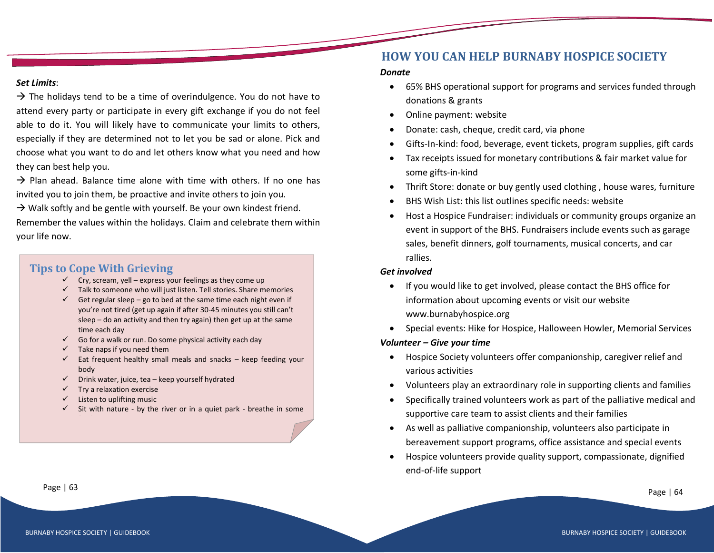#### *Set Limits*:

 $\rightarrow$  The holidays tend to be a time of overindulgence. You do not have to attend every party or participate in every gift exchange if you do not feel able to do it. You will likely have to communicate your limits to others, especially if they are determined not to let you be sad or alone. Pick and choose what you want to do and let others know what you need and how they can best help you.

 $\rightarrow$  Plan ahead. Balance time alone with time with others. If no one has invited you to join them, be proactive and invite others to join you.

 $\rightarrow$  Walk softly and be gentle with yourself. Be your own kindest friend.

Remember the values within the holidays. Claim and celebrate them within your life now.

## **Tips to Cope With Grieving**

- $\checkmark$  Cry, scream, yell express your feelings as they come up
- $\checkmark$  Talk to someone who will just listen. Tell stories. Share memories
- Get regular sleep go to bed at the same time each night even if you're not tired (get up again if after 30-45 minutes you still can't sleep – do an activity and then try again) then get up at the same time each day
- Go for a walk or run. Do some physical activity each day
- $\checkmark$  Take naps if you need them
- Eat frequent healthy small meals and snacks  $-$  keep feeding your body
- $\checkmark$  Drink water, juice, tea keep yourself hydrated
- Try a relaxation exercise
- Listen to uplifting music

13. Let you self have fun - Let you self laught

Sit with nature - by the river or in a quiet park - breathe in some

## **HOW YOU CAN HELP BURNABY HOSPICE SOCIETY**

#### *Donate*

- 65% BHS operational support for programs and services funded through donations & grants
- Online payment: website
- Donate: cash, cheque, credit card, via phone
- Gifts-In-kind: food, beverage, event tickets, program supplies, gift cards
- Tax receipts issued for monetary contributions & fair market value for some gifts-in-kind
- Thrift Store: donate or buy gently used clothing , house wares, furniture
- BHS Wish List: this list outlines specific needs: website
- Host a Hospice Fundraiser: individuals or community groups organize an event in support of the BHS. Fundraisers include events such as garage sales, benefit dinners, golf tournaments, musical concerts, and car rallies.

#### *Get involved*

- If you would like to get involved, please contact the BHS office for information about upcoming events or visit our website www.burnabyhospice.org
- Special events: Hike for Hospice, Halloween Howler, Memorial Services

#### *Volunteer – Give your time*

- Hospice Society volunteers offer companionship, caregiver relief and various activities
- Volunteers play an extraordinary role in supporting clients and families
- Specifically trained volunteers work as part of the palliative medical and supportive care team to assist clients and their families
- As well as palliative companionship, volunteers also participate in bereavement support programs, office assistance and special events
- Hospice volunteers provide quality support, compassionate, dignified end-of-life support